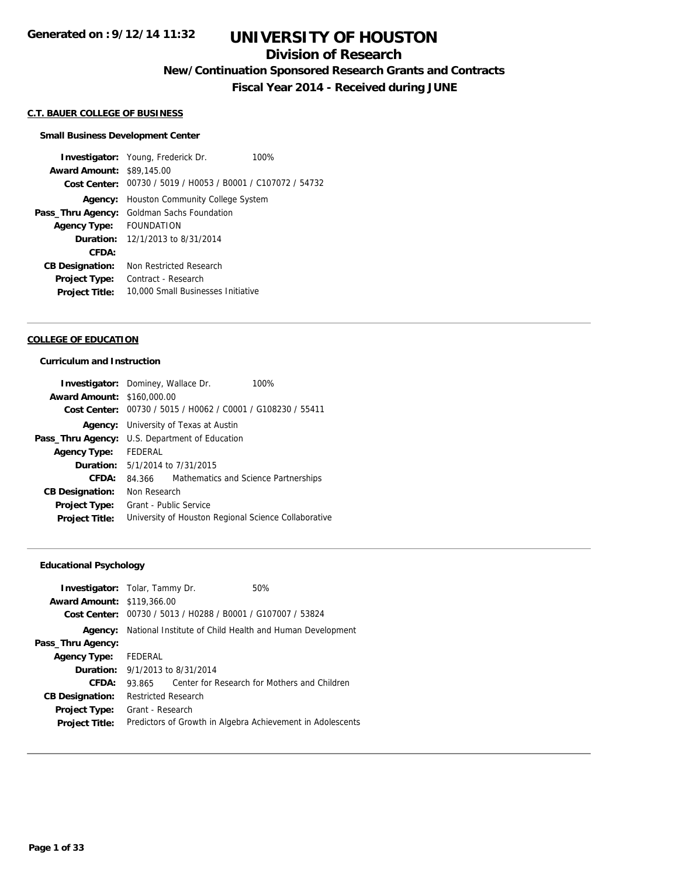## **Division of Research**

**New/Continuation Sponsored Research Grants and Contracts**

**Fiscal Year 2014 - Received during JUNE**

#### **C.T. BAUER COLLEGE OF BUSINESS**

#### **Small Business Development Center**

**Investigator:** Young, Frederick Dr. 100% **Award Amount:** \$89,145.00 **Cost Center:** 00730 / 5019 / H0053 / B0001 / C107072 / 54732 **Agency:** Houston Community College System **Pass\_Thru Agency:** Goldman Sachs Foundation **Agency Type:** FOUNDATION **Duration:** 12/1/2013 to 8/31/2014 **CFDA: CB Designation:** Non Restricted Research **Project Type:** Contract - Research **Project Title:** 10,000 Small Businesses Initiative

#### **COLLEGE OF EDUCATION**

#### **Curriculum and Instruction**

|                                   | Investigator: Dominey, Wallace Dr.<br>100%                  |
|-----------------------------------|-------------------------------------------------------------|
| <b>Award Amount: \$160,000.00</b> |                                                             |
|                                   | Cost Center: 00730 / 5015 / H0062 / C0001 / G108230 / 55411 |
|                                   | <b>Agency:</b> University of Texas at Austin                |
|                                   | Pass_Thru Agency: U.S. Department of Education              |
| <b>Agency Type:</b>               | <b>FEDERAL</b>                                              |
|                                   | <b>Duration:</b> $5/1/2014$ to $7/31/2015$                  |
| CFDA:                             | Mathematics and Science Partnerships<br>84.366              |
| <b>CB Designation:</b>            | Non Research                                                |
| Project Type:                     | Grant - Public Service                                      |
| <b>Project Title:</b>             | University of Houston Regional Science Collaborative        |

### **Educational Psychology**

| <b>Investigator:</b> Tolar, Tammy Dr.<br><b>Award Amount: \$119,366.00</b><br>Cost Center: |                            | 00730 / 5013 / H0288 / B0001 / G107007 / 53824 | 50%                                                        |
|--------------------------------------------------------------------------------------------|----------------------------|------------------------------------------------|------------------------------------------------------------|
| Agency:                                                                                    |                            |                                                | National Institute of Child Health and Human Development   |
| Pass_Thru Agency:                                                                          |                            |                                                |                                                            |
| <b>Agency Type:</b>                                                                        | FEDERAL                    |                                                |                                                            |
|                                                                                            |                            | <b>Duration:</b> $9/1/2013$ to $8/31/2014$     |                                                            |
| CFDA:                                                                                      | 93.865                     |                                                | Center for Research for Mothers and Children               |
| <b>CB Designation:</b>                                                                     | <b>Restricted Research</b> |                                                |                                                            |
| <b>Project Type:</b>                                                                       | Grant - Research           |                                                |                                                            |
| <b>Project Title:</b>                                                                      |                            |                                                | Predictors of Growth in Algebra Achievement in Adolescents |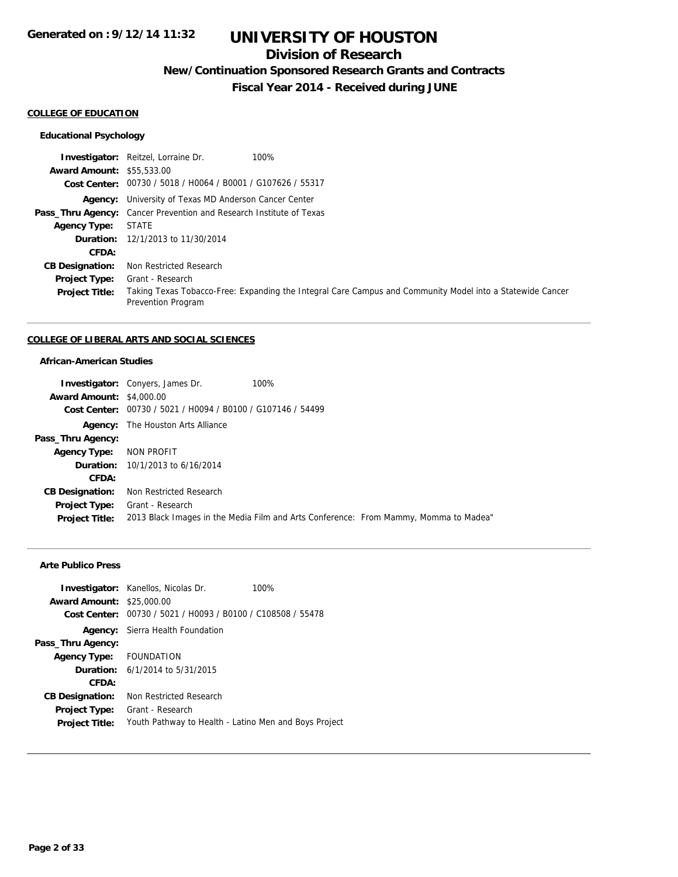## **Division of Research**

**New/Continuation Sponsored Research Grants and Contracts**

**Fiscal Year 2014 - Received during JUNE**

#### **COLLEGE OF EDUCATION**

### **Educational Psychology**

|                                  | <b>Investigator:</b> Reitzel, Lorraine Dr.<br>100%                                                                              |
|----------------------------------|---------------------------------------------------------------------------------------------------------------------------------|
| <b>Award Amount: \$55,533.00</b> |                                                                                                                                 |
|                                  | Cost Center: 00730 / 5018 / H0064 / B0001 / G107626 / 55317                                                                     |
|                                  | <b>Agency:</b> University of Texas MD Anderson Cancer Center                                                                    |
|                                  | <b>Pass_Thru Agency:</b> Cancer Prevention and Research Institute of Texas                                                      |
| <b>Agency Type:</b>              | <b>STATE</b>                                                                                                                    |
|                                  | <b>Duration:</b> 12/1/2013 to 11/30/2014                                                                                        |
| CFDA:                            |                                                                                                                                 |
| <b>CB Designation:</b>           | Non Restricted Research                                                                                                         |
| <b>Project Type:</b>             | Grant - Research                                                                                                                |
| <b>Project Title:</b>            | Taking Texas Tobacco-Free: Expanding the Integral Care Campus and Community Model into a Statewide Cancer<br>Prevention Program |

#### **COLLEGE OF LIBERAL ARTS AND SOCIAL SCIENCES**

### **African-American Studies**

|                                 | <b>Investigator:</b> Conyers, James Dr.                                              | 100% |  |
|---------------------------------|--------------------------------------------------------------------------------------|------|--|
| <b>Award Amount: \$4,000.00</b> |                                                                                      |      |  |
|                                 | Cost Center: 00730 / 5021 / H0094 / B0100 / G107146 / 54499                          |      |  |
| Agency:                         | The Houston Arts Alliance                                                            |      |  |
| Pass_Thru Agency:               |                                                                                      |      |  |
| <b>Agency Type:</b>             | NON PROFIT                                                                           |      |  |
|                                 | <b>Duration:</b> 10/1/2013 to 6/16/2014                                              |      |  |
| CFDA:                           |                                                                                      |      |  |
| <b>CB Designation:</b>          | Non Restricted Research                                                              |      |  |
| <b>Project Type:</b>            | Grant - Research                                                                     |      |  |
| <b>Project Title:</b>           | 2013 Black Images in the Media Film and Arts Conference: From Mammy, Momma to Madea" |      |  |

### **Arte Publico Press**

| <b>Award Amount: \$25,000.00</b> | <b>Investigator:</b> Kanellos, Nicolas Dr.<br>100%          |
|----------------------------------|-------------------------------------------------------------|
|                                  | Cost Center: 00730 / 5021 / H0093 / B0100 / C108508 / 55478 |
|                                  | <b>Agency:</b> Sierra Health Foundation                     |
| Pass_Thru Agency:                |                                                             |
| Agency Type: FOUNDATION          |                                                             |
|                                  | <b>Duration:</b> $6/1/2014$ to $5/31/2015$                  |
| CFDA:                            |                                                             |
| <b>CB Designation:</b>           | Non Restricted Research                                     |
| <b>Project Type:</b>             | Grant - Research                                            |
| <b>Project Title:</b>            | Youth Pathway to Health - Latino Men and Boys Project       |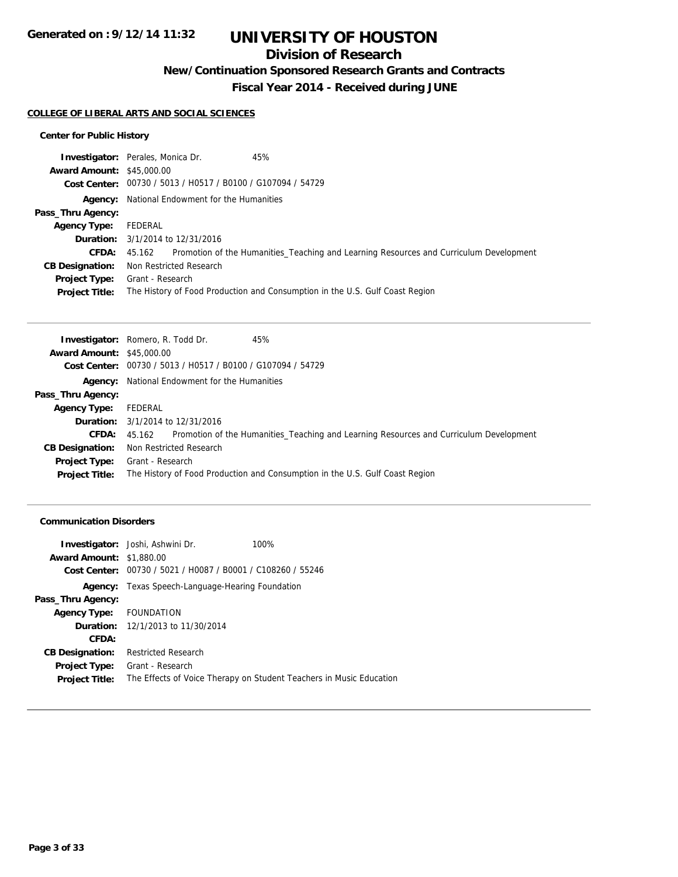## **Division of Research**

**New/Continuation Sponsored Research Grants and Contracts**

**Fiscal Year 2014 - Received during JUNE**

#### **COLLEGE OF LIBERAL ARTS AND SOCIAL SCIENCES**

### **Center for Public History**

|                                  | <b>Investigator:</b> Perales, Monica Dr.<br>45%                                               |
|----------------------------------|-----------------------------------------------------------------------------------------------|
| <b>Award Amount: \$45,000.00</b> |                                                                                               |
|                                  | Cost Center: 00730 / 5013 / H0517 / B0100 / G107094 / 54729                                   |
|                                  | <b>Agency:</b> National Endowment for the Humanities                                          |
| Pass_Thru Agency:                |                                                                                               |
| Agency Type:                     | FEDERAL                                                                                       |
|                                  | <b>Duration:</b> 3/1/2014 to 12/31/2016                                                       |
| <b>CFDA:</b>                     | 45.162 Promotion of the Humanities_Teaching and Learning Resources and Curriculum Development |
| <b>CB Designation:</b>           | Non Restricted Research                                                                       |
| <b>Project Type:</b>             | Grant - Research                                                                              |
| <b>Project Title:</b>            | The History of Food Production and Consumption in the U.S. Gulf Coast Region                  |

|                                  | <b>Investigator:</b> Romero, R. Todd Dr.<br>45%                                                               |
|----------------------------------|---------------------------------------------------------------------------------------------------------------|
| <b>Award Amount: \$45,000.00</b> |                                                                                                               |
|                                  | Cost Center: 00730 / 5013 / H0517 / B0100 / G107094 / 54729                                                   |
|                                  | <b>Agency:</b> National Endowment for the Humanities                                                          |
| Pass_Thru Agency:                |                                                                                                               |
| Agency Type:                     | FEDERAL                                                                                                       |
|                                  | <b>Duration:</b> 3/1/2014 to 12/31/2016                                                                       |
|                                  | Promotion of the Humanities_Teaching and Learning Resources and Curriculum Development<br><b>CFDA:</b> 45.162 |
| <b>CB Designation:</b>           | Non Restricted Research                                                                                       |
|                                  | <b>Project Type:</b> Grant - Research                                                                         |
| <b>Project Title:</b>            | The History of Food Production and Consumption in the U.S. Gulf Coast Region                                  |

#### **Communication Disorders**

|                                 | <b>Investigator:</b> Joshi, Ashwini Dr.        | 100%                                                                |
|---------------------------------|------------------------------------------------|---------------------------------------------------------------------|
| <b>Award Amount: \$1,880.00</b> |                                                |                                                                     |
| Cost Center:                    | 00730 / 5021 / H0087 / B0001 / C108260 / 55246 |                                                                     |
| Agency:                         | Texas Speech-Language-Hearing Foundation       |                                                                     |
| Pass_Thru Agency:               |                                                |                                                                     |
| Agency Type: FOUNDATION         |                                                |                                                                     |
|                                 | <b>Duration:</b> 12/1/2013 to 11/30/2014       |                                                                     |
| CFDA:                           |                                                |                                                                     |
| <b>CB Designation:</b>          | <b>Restricted Research</b>                     |                                                                     |
| <b>Project Type:</b>            | Grant - Research                               |                                                                     |
| <b>Project Title:</b>           |                                                | The Effects of Voice Therapy on Student Teachers in Music Education |
|                                 |                                                |                                                                     |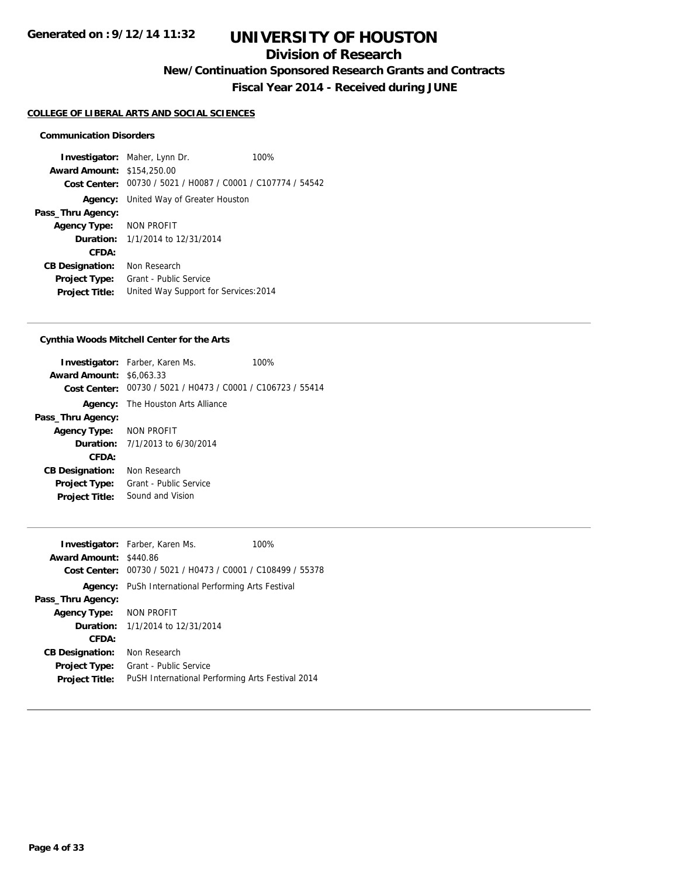## **Division of Research**

**New/Continuation Sponsored Research Grants and Contracts**

**Fiscal Year 2014 - Received during JUNE**

#### **COLLEGE OF LIBERAL ARTS AND SOCIAL SCIENCES**

#### **Communication Disorders**

**Investigator:** Maher, Lynn Dr. 100% **Award Amount:** \$154,250.00 **Cost Center:** 00730 / 5021 / H0087 / C0001 / C107774 / 54542 **Agency:** United Way of Greater Houston **Pass\_Thru Agency: Agency Type:** NON PROFIT **Duration:** 1/1/2014 to 12/31/2014 **CFDA: CB Designation:** Non Research **Project Type:** Grant - Public Service **Project Title:** United Way Support for Services:2014

### **Cynthia Woods Mitchell Center for the Arts**

| <b>Award Amount: \$6,063,33</b> | <b>Investigator:</b> Farber, Karen Ms.<br>Cost Center: 00730 / 5021 / H0473 / C0001 / C106723 / 55414 | 100% |
|---------------------------------|-------------------------------------------------------------------------------------------------------|------|
|                                 | <b>Agency:</b> The Houston Arts Alliance                                                              |      |
| Pass_Thru Agency:               |                                                                                                       |      |
| Agency Type: NON PROFIT         |                                                                                                       |      |
|                                 | <b>Duration:</b> $7/1/2013$ to $6/30/2014$                                                            |      |
| CFDA:                           |                                                                                                       |      |
| <b>CB Designation:</b>          | Non Research                                                                                          |      |
| <b>Project Type:</b>            | Grant - Public Service                                                                                |      |
| <b>Project Title:</b>           | Sound and Vision                                                                                      |      |
|                                 |                                                                                                       |      |

|                               | <b>Investigator:</b> Farber, Karen Ms.                      | 100% |
|-------------------------------|-------------------------------------------------------------|------|
| <b>Award Amount: \$440.86</b> |                                                             |      |
|                               | Cost Center: 00730 / 5021 / H0473 / C0001 / C108499 / 55378 |      |
|                               | <b>Agency:</b> PuSh International Performing Arts Festival  |      |
| Pass_Thru Agency:             |                                                             |      |
| Agency Type: NON PROFIT       |                                                             |      |
|                               | <b>Duration:</b> 1/1/2014 to 12/31/2014                     |      |
| CFDA:                         |                                                             |      |
| <b>CB Designation:</b>        | Non Research                                                |      |
| <b>Project Type:</b>          | Grant - Public Service                                      |      |
| <b>Project Title:</b>         | PuSH International Performing Arts Festival 2014            |      |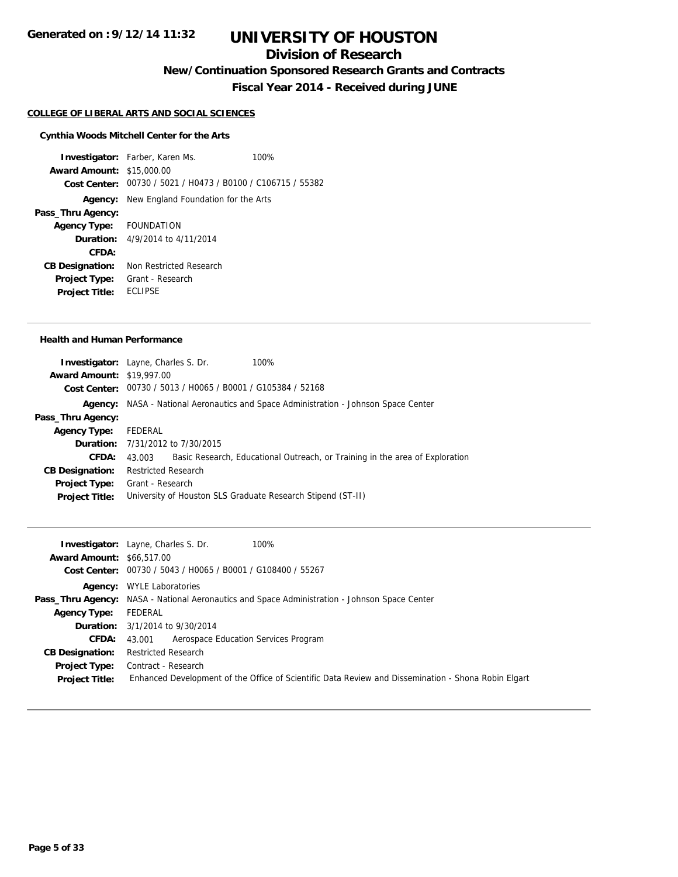## **Division of Research**

**New/Continuation Sponsored Research Grants and Contracts**

**Fiscal Year 2014 - Received during JUNE**

#### **COLLEGE OF LIBERAL ARTS AND SOCIAL SCIENCES**

#### **Cynthia Woods Mitchell Center for the Arts**

**Investigator:** Farber, Karen Ms. 100% **Award Amount:** \$15,000.00 **Cost Center:** 00730 / 5021 / H0473 / B0100 / C106715 / 55382 **Agency:** New England Foundation for the Arts **Pass\_Thru Agency: Agency Type:** FOUNDATION **Duration:** 4/9/2014 to 4/11/2014 **CFDA: CB Designation:** Non Restricted Research **Project Type:** Grant - Research **Project Title:** ECLIPSE

#### **Health and Human Performance**

|                                  | <b>Investigator:</b> Layne, Charles S. Dr. | 100%                                                                                |
|----------------------------------|--------------------------------------------|-------------------------------------------------------------------------------------|
| <b>Award Amount: \$19,997.00</b> |                                            |                                                                                     |
|                                  |                                            | Cost Center: 00730 / 5013 / H0065 / B0001 / G105384 / 52168                         |
|                                  |                                            | Agency: NASA - National Aeronautics and Space Administration - Johnson Space Center |
| Pass_Thru Agency:                |                                            |                                                                                     |
| Agency Type:                     | FEDERAL                                    |                                                                                     |
|                                  | <b>Duration:</b> 7/31/2012 to 7/30/2015    |                                                                                     |
| <b>CFDA:</b>                     | 43.003                                     | Basic Research, Educational Outreach, or Training in the area of Exploration        |
| <b>CB Designation:</b>           | <b>Restricted Research</b>                 |                                                                                     |
| <b>Project Type:</b>             | Grant - Research                           |                                                                                     |
| <b>Project Title:</b>            |                                            | University of Houston SLS Graduate Research Stipend (ST-II)                         |
|                                  |                                            |                                                                                     |

| <b>Award Amount: \$66.517.00</b><br>Cost Center: 00730 / 5043 / H0065 / B0001 / G108400 / 55267<br><b>Agency:</b> WYLE Laboratories<br><b>Pass_Thru Agency:</b> NASA - National Aeronautics and Space Administration - Johnson Space Center<br>FEDERAL<br>Agency Type:<br><b>Duration:</b> 3/1/2014 to 9/30/2014<br>Aerospace Education Services Program<br><b>CFDA:</b><br>43.001<br><b>Restricted Research</b><br><b>CB Designation:</b><br><b>Project Type:</b> Contract - Research<br>Enhanced Development of the Office of Scientific Data Review and Dissemination - Shona Robin Elgart<br><b>Project Title:</b> | 100%<br><b>Investigator:</b> Layne, Charles S. Dr. |
|------------------------------------------------------------------------------------------------------------------------------------------------------------------------------------------------------------------------------------------------------------------------------------------------------------------------------------------------------------------------------------------------------------------------------------------------------------------------------------------------------------------------------------------------------------------------------------------------------------------------|----------------------------------------------------|
|                                                                                                                                                                                                                                                                                                                                                                                                                                                                                                                                                                                                                        |                                                    |
|                                                                                                                                                                                                                                                                                                                                                                                                                                                                                                                                                                                                                        |                                                    |
|                                                                                                                                                                                                                                                                                                                                                                                                                                                                                                                                                                                                                        |                                                    |
|                                                                                                                                                                                                                                                                                                                                                                                                                                                                                                                                                                                                                        |                                                    |
|                                                                                                                                                                                                                                                                                                                                                                                                                                                                                                                                                                                                                        |                                                    |
|                                                                                                                                                                                                                                                                                                                                                                                                                                                                                                                                                                                                                        |                                                    |
|                                                                                                                                                                                                                                                                                                                                                                                                                                                                                                                                                                                                                        |                                                    |
|                                                                                                                                                                                                                                                                                                                                                                                                                                                                                                                                                                                                                        |                                                    |
|                                                                                                                                                                                                                                                                                                                                                                                                                                                                                                                                                                                                                        |                                                    |
|                                                                                                                                                                                                                                                                                                                                                                                                                                                                                                                                                                                                                        |                                                    |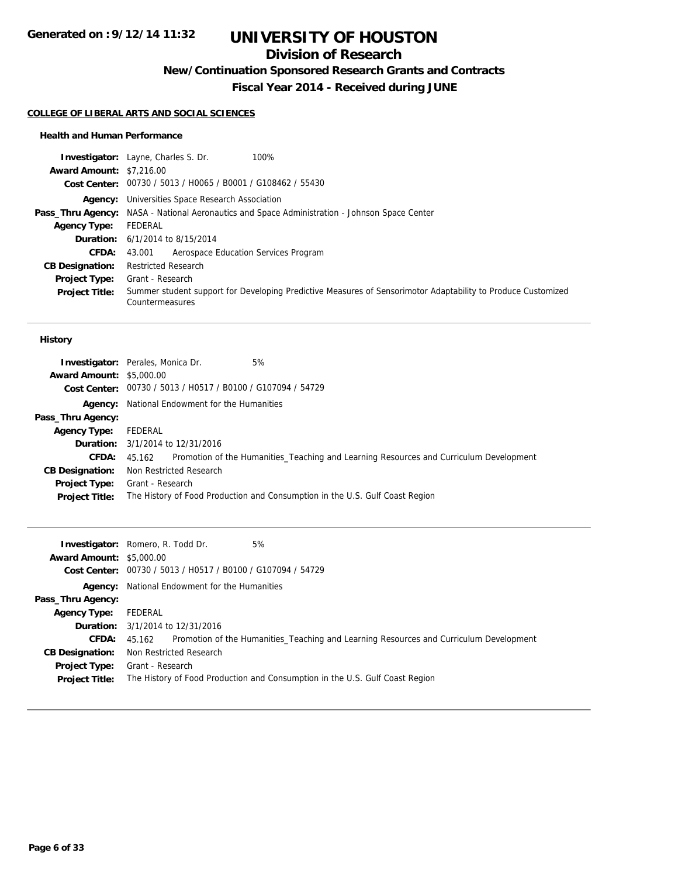## **Division of Research**

**New/Continuation Sponsored Research Grants and Contracts**

**Fiscal Year 2014 - Received during JUNE**

#### **COLLEGE OF LIBERAL ARTS AND SOCIAL SCIENCES**

#### **Health and Human Performance**

|                                 | <b>Investigator:</b> Layne, Charles S. Dr.<br>100%                                                                              |
|---------------------------------|---------------------------------------------------------------------------------------------------------------------------------|
| <b>Award Amount: \$7,216.00</b> |                                                                                                                                 |
|                                 | Cost Center: 00730 / 5013 / H0065 / B0001 / G108462 / 55430                                                                     |
|                                 | <b>Agency:</b> Universities Space Research Association                                                                          |
|                                 | <b>Pass_Thru Agency:</b> NASA - National Aeronautics and Space Administration - Johnson Space Center                            |
| <b>Agency Type:</b>             | FEDERAL                                                                                                                         |
|                                 | <b>Duration:</b> $6/1/2014$ to $8/15/2014$                                                                                      |
| <b>CFDA:</b>                    | Aerospace Education Services Program<br>43.001                                                                                  |
| <b>CB Designation:</b>          | <b>Restricted Research</b>                                                                                                      |
| <b>Project Type:</b>            | Grant - Research                                                                                                                |
| <b>Project Title:</b>           | Summer student support for Developing Predictive Measures of Sensorimotor Adaptability to Produce Customized<br>Countermeasures |

#### **History**

|                                 | <b>Investigator:</b> Perales, Monica Dr.<br>5%                                                |
|---------------------------------|-----------------------------------------------------------------------------------------------|
| <b>Award Amount: \$5,000.00</b> |                                                                                               |
|                                 | Cost Center: 00730 / 5013 / H0517 / B0100 / G107094 / 54729                                   |
|                                 | <b>Agency:</b> National Endowment for the Humanities                                          |
| Pass_Thru Agency:               |                                                                                               |
| <b>Agency Type:</b>             | FEDERAL                                                                                       |
|                                 | <b>Duration:</b> 3/1/2014 to 12/31/2016                                                       |
| <b>CFDA:</b>                    | 45.162 Promotion of the Humanities_Teaching and Learning Resources and Curriculum Development |
| <b>CB Designation:</b>          | Non Restricted Research                                                                       |
| Project Type:                   | Grant - Research                                                                              |
| <b>Project Title:</b>           | The History of Food Production and Consumption in the U.S. Gulf Coast Region                  |

| <b>Award Amount: \$5,000.00</b> | 5%<br><b>Investigator:</b> Romero, R. Todd Dr.<br>Cost Center: 00730 / 5013 / H0517 / B0100 / G107094 / 54729         |
|---------------------------------|-----------------------------------------------------------------------------------------------------------------------|
|                                 | <b>Agency:</b> National Endowment for the Humanities                                                                  |
| Pass_Thru Agency:               |                                                                                                                       |
| <b>Agency Type:</b> FEDERAL     |                                                                                                                       |
|                                 | <b>Duration:</b> 3/1/2014 to 12/31/2016                                                                               |
| <b>CFDA:</b>                    | 45.162 Promotion of the Humanities_Teaching and Learning Resources and Curriculum Development                         |
| <b>CB Designation:</b>          | Non Restricted Research                                                                                               |
| <b>Project Title:</b>           | <b>Project Type:</b> Grant - Research<br>The History of Food Production and Consumption in the U.S. Gulf Coast Region |
|                                 |                                                                                                                       |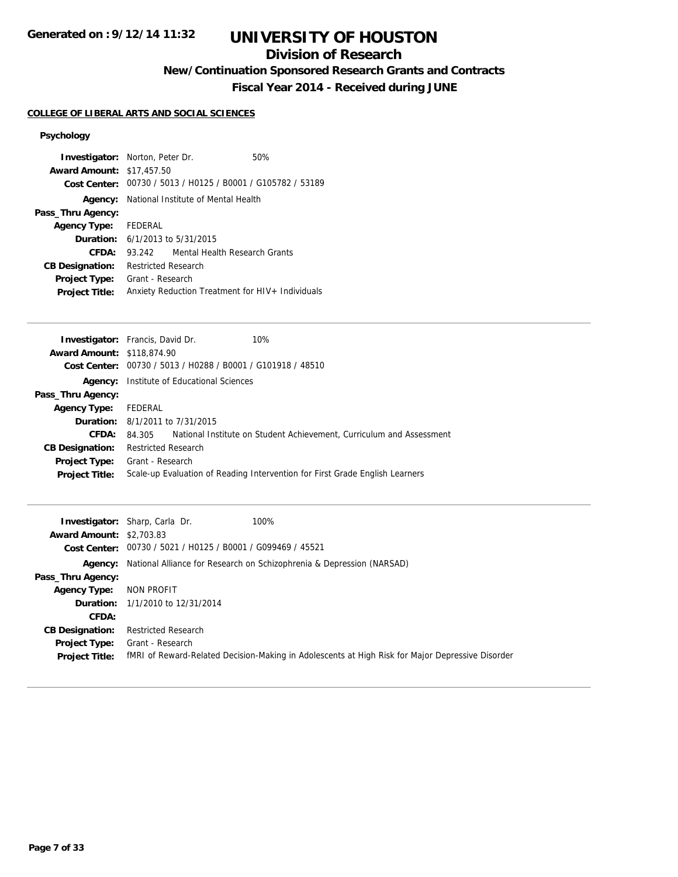# **UNIVERSITY OF HOUSTON**

## **Division of Research**

**New/Continuation Sponsored Research Grants and Contracts**

**Fiscal Year 2014 - Received during JUNE**

## **COLLEGE OF LIBERAL ARTS AND SOCIAL SCIENCES**

| <b>Award Amount: \$17,457.50</b>              | <b>Investigator:</b> Norton, Peter Dr.             | 50%<br>Cost Center: 00730 / 5013 / H0125 / B0001 / G105782 / 53189 |
|-----------------------------------------------|----------------------------------------------------|--------------------------------------------------------------------|
|                                               | <b>Agency:</b> National Institute of Mental Health |                                                                    |
| Pass_Thru Agency:                             |                                                    |                                                                    |
| <b>Agency Type:</b>                           | FEDERAL                                            |                                                                    |
|                                               | <b>Duration:</b> $6/1/2013$ to $5/31/2015$         |                                                                    |
| CFDA:                                         | 93.242                                             | Mental Health Research Grants                                      |
| <b>CB Designation:</b>                        | <b>Restricted Research</b>                         |                                                                    |
| <b>Project Type:</b><br><b>Project Title:</b> | Grant - Research                                   | Anxiety Reduction Treatment for HIV+ Individuals                   |

| <b>Investigator:</b> Francis, David Dr. |                            |                                                | 10%                                                                          |
|-----------------------------------------|----------------------------|------------------------------------------------|------------------------------------------------------------------------------|
| <b>Award Amount: \$118,874.90</b>       |                            |                                                |                                                                              |
| Cost Center:                            |                            | 00730 / 5013 / H0288 / B0001 / G101918 / 48510 |                                                                              |
| Agency:                                 |                            | Institute of Educational Sciences              |                                                                              |
| Pass_Thru Agency:                       |                            |                                                |                                                                              |
| <b>Agency Type:</b>                     | FEDERAL                    |                                                |                                                                              |
|                                         |                            | <b>Duration:</b> 8/1/2011 to 7/31/2015         |                                                                              |
| CFDA:                                   | 84.305                     |                                                | National Institute on Student Achievement, Curriculum and Assessment         |
| <b>CB Designation:</b>                  | <b>Restricted Research</b> |                                                |                                                                              |
| <b>Project Type:</b>                    | Grant - Research           |                                                |                                                                              |
| <b>Project Title:</b>                   |                            |                                                | Scale-up Evaluation of Reading Intervention for First Grade English Learners |
|                                         |                            |                                                |                                                                              |

|                                 | 100%<br><b>Investigator:</b> Sharp, Carla Dr.                                                    |
|---------------------------------|--------------------------------------------------------------------------------------------------|
| <b>Award Amount: \$2,703.83</b> |                                                                                                  |
|                                 | Cost Center: 00730 / 5021 / H0125 / B0001 / G099469 / 45521                                      |
|                                 | <b>Agency:</b> National Alliance for Research on Schizophrenia & Depression (NARSAD)             |
| Pass_Thru Agency:               |                                                                                                  |
| Agency Type:                    | NON PROFIT                                                                                       |
|                                 | <b>Duration:</b> 1/1/2010 to 12/31/2014                                                          |
| <b>CFDA:</b>                    |                                                                                                  |
| <b>CB Designation:</b>          | <b>Restricted Research</b>                                                                       |
| <b>Project Type:</b>            | Grant - Research                                                                                 |
| <b>Project Title:</b>           | fMRI of Reward-Related Decision-Making in Adolescents at High Risk for Major Depressive Disorder |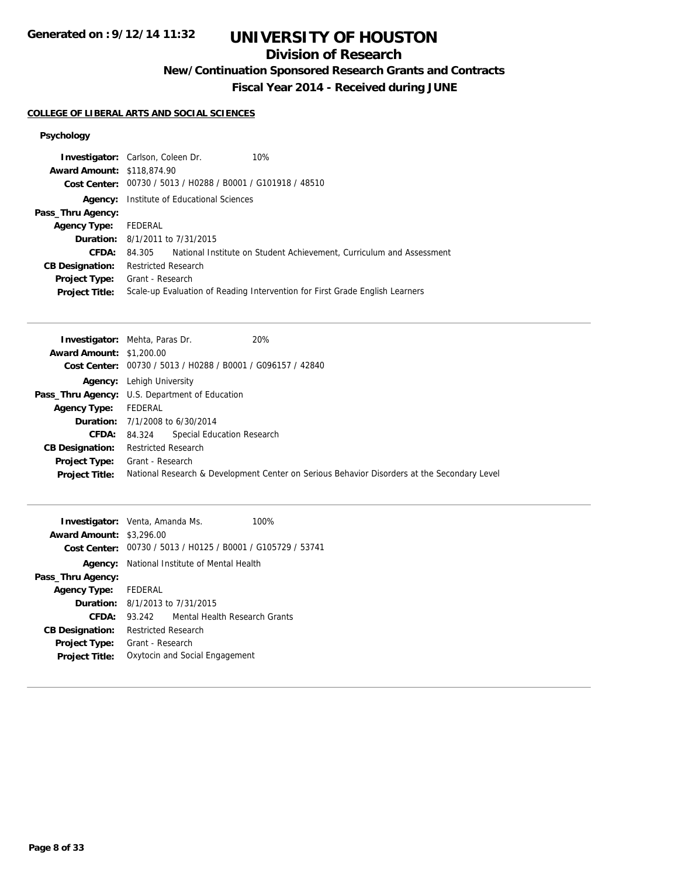# **UNIVERSITY OF HOUSTON**

## **Division of Research**

**New/Continuation Sponsored Research Grants and Contracts**

**Fiscal Year 2014 - Received during JUNE**

#### **COLLEGE OF LIBERAL ARTS AND SOCIAL SCIENCES**

| <b>Investigator:</b> Carlson, Coleen Dr.                    | 10%                                                                          |
|-------------------------------------------------------------|------------------------------------------------------------------------------|
| <b>Award Amount: \$118,874.90</b>                           |                                                                              |
| Cost Center: 00730 / 5013 / H0288 / B0001 / G101918 / 48510 |                                                                              |
| Institute of Educational Sciences                           |                                                                              |
|                                                             |                                                                              |
| FEDERAL                                                     |                                                                              |
| <b>Duration:</b> 8/1/2011 to 7/31/2015                      |                                                                              |
| 84.305                                                      | National Institute on Student Achievement, Curriculum and Assessment         |
| <b>Restricted Research</b>                                  |                                                                              |
| Grant - Research                                            |                                                                              |
|                                                             | Scale-up Evaluation of Reading Intervention for First Grade English Learners |
|                                                             |                                                                              |

|                                 | 20%<br><b>Investigator:</b> Mehta, Paras Dr.                                                |
|---------------------------------|---------------------------------------------------------------------------------------------|
| <b>Award Amount: \$1,200.00</b> |                                                                                             |
|                                 | Cost Center: 00730 / 5013 / H0288 / B0001 / G096157 / 42840                                 |
|                                 | <b>Agency:</b> Lehigh University                                                            |
|                                 | <b>Pass_Thru Agency:</b> U.S. Department of Education                                       |
| <b>Agency Type:</b>             | FEDERAL                                                                                     |
|                                 | <b>Duration:</b> 7/1/2008 to 6/30/2014                                                      |
|                                 | <b>Special Education Research</b><br>CFDA: 84.324                                           |
| <b>CB Designation:</b>          | <b>Restricted Research</b>                                                                  |
|                                 | Project Type: Grant - Research                                                              |
| <b>Project Title:</b>           | National Research & Development Center on Serious Behavior Disorders at the Secondary Level |

| <b>Investigator:</b> Venta, Amanda Ms. |                                                    |                                                             | 100% |
|----------------------------------------|----------------------------------------------------|-------------------------------------------------------------|------|
| <b>Award Amount: \$3,296.00</b>        |                                                    |                                                             |      |
|                                        |                                                    | Cost Center: 00730 / 5013 / H0125 / B0001 / G105729 / 53741 |      |
|                                        | <b>Agency:</b> National Institute of Mental Health |                                                             |      |
| Pass_Thru Agency:                      |                                                    |                                                             |      |
| Agency Type: FEDERAL                   |                                                    |                                                             |      |
|                                        |                                                    | <b>Duration:</b> $8/1/2013$ to $7/31/2015$                  |      |
| CFDA:                                  | 93 242                                             | Mental Health Research Grants                               |      |
| <b>CB Designation:</b>                 | <b>Restricted Research</b>                         |                                                             |      |
| <b>Project Type:</b>                   | Grant - Research                                   |                                                             |      |
| <b>Project Title:</b>                  |                                                    | Oxytocin and Social Engagement                              |      |
|                                        |                                                    |                                                             |      |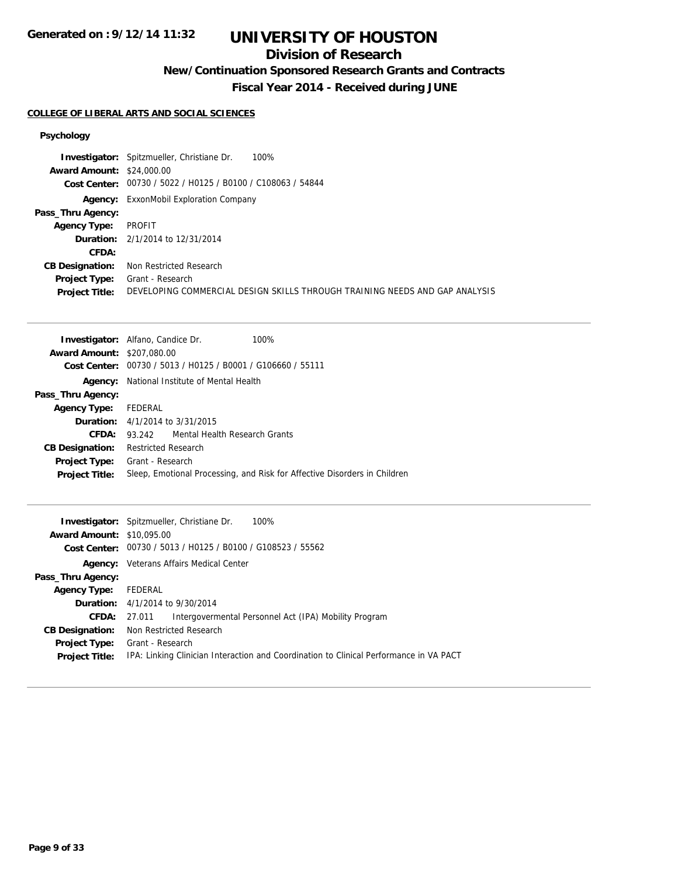# **UNIVERSITY OF HOUSTON**

## **Division of Research**

**New/Continuation Sponsored Research Grants and Contracts**

**Fiscal Year 2014 - Received during JUNE**

#### **COLLEGE OF LIBERAL ARTS AND SOCIAL SCIENCES**

|                                  | 100%<br><b>Investigator:</b> Spitzmueller, Christiane Dr.                   |
|----------------------------------|-----------------------------------------------------------------------------|
| <b>Award Amount: \$24,000.00</b> |                                                                             |
|                                  | Cost Center: 00730 / 5022 / H0125 / B0100 / C108063 / 54844                 |
|                                  | <b>Agency:</b> ExxonMobil Exploration Company                               |
| Pass_Thru Agency:                |                                                                             |
| <b>Agency Type:</b>              | PROFIT                                                                      |
|                                  | <b>Duration:</b> $2/1/2014$ to $12/31/2014$                                 |
| CFDA:                            |                                                                             |
| <b>CB Designation:</b>           | Non Restricted Research                                                     |
| <b>Project Type:</b>             | Grant - Research                                                            |
| <b>Project Title:</b>            | DEVELOPING COMMERCIAL DESIGN SKILLS THROUGH TRAINING NEEDS AND GAP ANALYSIS |

|                                   | <b>Investigator:</b> Alfano, Candice Dr.<br>100%                          |
|-----------------------------------|---------------------------------------------------------------------------|
| <b>Award Amount: \$207,080.00</b> |                                                                           |
|                                   | Cost Center: 00730 / 5013 / H0125 / B0001 / G106660 / 55111               |
|                                   | <b>Agency:</b> National Institute of Mental Health                        |
| Pass_Thru Agency:                 |                                                                           |
| <b>Agency Type:</b>               | FEDERAL                                                                   |
|                                   | <b>Duration:</b> $4/1/2014$ to $3/31/2015$                                |
| CFDA:                             | 93.242 Mental Health Research Grants                                      |
| <b>CB Designation:</b>            | <b>Restricted Research</b>                                                |
| <b>Project Type:</b>              | Grant - Research                                                          |
| <b>Project Title:</b>             | Sleep, Emotional Processing, and Risk for Affective Disorders in Children |
|                                   |                                                                           |

|                                  | 100%<br><b>Investigator:</b> Spitzmueller, Christiane Dr.                              |
|----------------------------------|----------------------------------------------------------------------------------------|
| <b>Award Amount: \$10,095.00</b> |                                                                                        |
|                                  | Cost Center: 00730 / 5013 / H0125 / B0100 / G108523 / 55562                            |
|                                  | <b>Agency:</b> Veterans Affairs Medical Center                                         |
| Pass_Thru Agency:                |                                                                                        |
| Agency Type:                     | FEDERAL                                                                                |
|                                  | <b>Duration:</b> 4/1/2014 to 9/30/2014                                                 |
| <b>CFDA:</b>                     | Intergovermental Personnel Act (IPA) Mobility Program<br>27.011                        |
| <b>CB Designation:</b>           | Non Restricted Research                                                                |
| <b>Project Type:</b>             | Grant - Research                                                                       |
| <b>Project Title:</b>            | IPA: Linking Clinician Interaction and Coordination to Clinical Performance in VA PACT |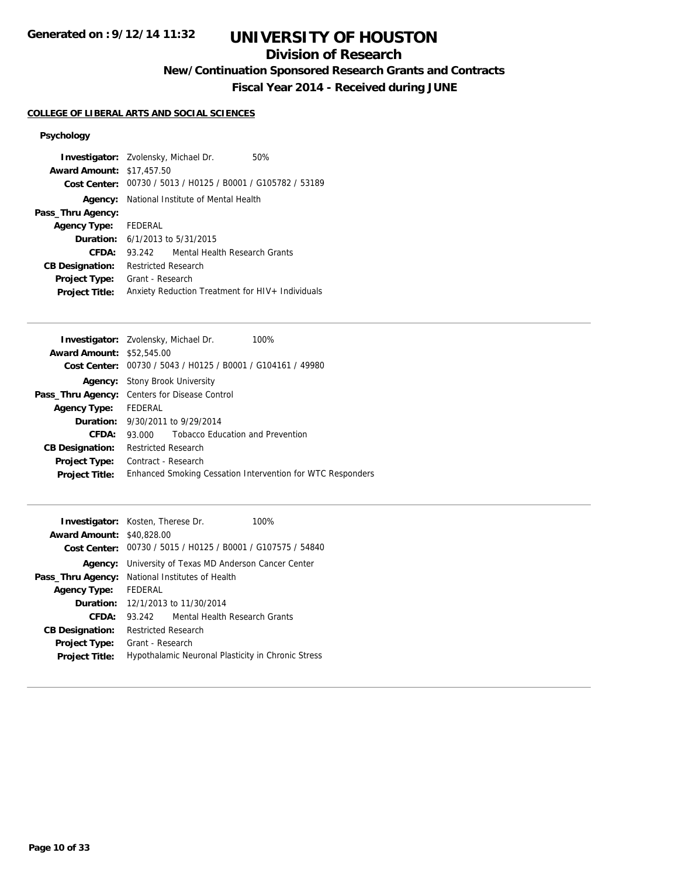## **Division of Research**

**New/Continuation Sponsored Research Grants and Contracts**

**Fiscal Year 2014 - Received during JUNE**

#### **COLLEGE OF LIBERAL ARTS AND SOCIAL SCIENCES**

| <b>Award Amount: \$17,457.50</b> | <b>Investigator:</b> Zvolensky, Michael Dr.<br>50%          |
|----------------------------------|-------------------------------------------------------------|
|                                  | Cost Center: 00730 / 5013 / H0125 / B0001 / G105782 / 53189 |
| Agency:                          | National Institute of Mental Health                         |
| Pass_Thru Agency:                |                                                             |
| <b>Agency Type:</b>              | FEDERAL                                                     |
|                                  | <b>Duration:</b> $6/1/2013$ to $5/31/2015$                  |
| CFDA:                            | Mental Health Research Grants<br>93.242                     |
| <b>CB Designation:</b>           | <b>Restricted Research</b>                                  |
| <b>Project Type:</b>             | Grant - Research                                            |
| <b>Project Title:</b>            | Anxiety Reduction Treatment for HIV+ Individuals            |

| <b>Award Amount: \$52,545.00</b>                                                    |  |
|-------------------------------------------------------------------------------------|--|
| Cost Center: 00730 / 5043 / H0125 / B0001 / G104161 / 49980                         |  |
| <b>Agency:</b> Stony Brook University                                               |  |
| <b>Pass_Thru Agency:</b> Centers for Disease Control                                |  |
| FEDERAL<br><b>Agency Type:</b>                                                      |  |
| <b>Duration:</b> 9/30/2011 to 9/29/2014                                             |  |
| <b>Tobacco Education and Prevention</b><br>CFDA:<br>93.000                          |  |
| <b>Restricted Research</b><br><b>CB Designation:</b>                                |  |
| Contract - Research<br><b>Project Type:</b>                                         |  |
| Enhanced Smoking Cessation Intervention for WTC Responders<br><b>Project Title:</b> |  |

| <b>Investigator:</b> Kosten, Therese Dr.<br><b>Award Amount: \$40,828.00</b> |                     | Cost Center: 00730 / 5015 / H0125 / B0001 / G107575 / 54840 | 100% |
|------------------------------------------------------------------------------|---------------------|-------------------------------------------------------------|------|
| Agency:                                                                      |                     | University of Texas MD Anderson Cancer Center               |      |
| Pass_Thru Agency:                                                            |                     | National Institutes of Health                               |      |
| <b>Agency Type:</b>                                                          | <b>FFDFRAL</b>      |                                                             |      |
|                                                                              |                     | <b>Duration:</b> 12/1/2013 to 11/30/2014                    |      |
| CFDA:                                                                        | 93.242              | Mental Health Research Grants                               |      |
| <b>CB Designation:</b>                                                       | Restricted Research |                                                             |      |
| <b>Project Type:</b><br><b>Project Title:</b>                                | Grant - Research    | Hypothalamic Neuronal Plasticity in Chronic Stress          |      |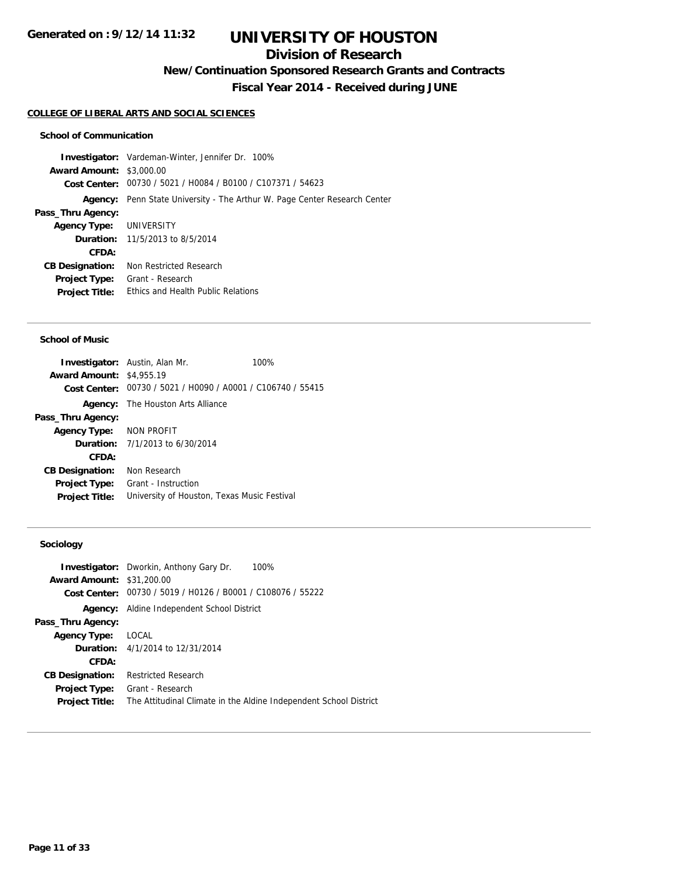## **Division of Research**

**New/Continuation Sponsored Research Grants and Contracts**

**Fiscal Year 2014 - Received during JUNE**

#### **COLLEGE OF LIBERAL ARTS AND SOCIAL SCIENCES**

#### **School of Communication**

**Investigator:** Vardeman-Winter, Jennifer Dr. 100% **Award Amount:** \$3,000.00 **Cost Center:** 00730 / 5021 / H0084 / B0100 / C107371 / 54623 **Agency:** Penn State University - The Arthur W. Page Center Research Center **Pass\_Thru Agency: Agency Type:** UNIVERSITY **Duration:** 11/5/2013 to 8/5/2014 **CFDA: CB Designation:** Non Restricted Research **Project Type:** Grant - Research **Project Title:** Ethics and Health Public Relations

#### **School of Music**

|                                 | <b>Investigator:</b> Austin, Alan Mr.                       | 100% |
|---------------------------------|-------------------------------------------------------------|------|
| <b>Award Amount: \$4,955.19</b> |                                                             |      |
|                                 | Cost Center: 00730 / 5021 / H0090 / A0001 / C106740 / 55415 |      |
|                                 | <b>Agency:</b> The Houston Arts Alliance                    |      |
| Pass_Thru Agency:               |                                                             |      |
| Agency Type: NON PROFIT         |                                                             |      |
|                                 | <b>Duration:</b> $7/1/2013$ to $6/30/2014$                  |      |
| CFDA:                           |                                                             |      |
| <b>CB Designation:</b>          | Non Research                                                |      |
| <b>Project Type:</b>            | Grant - Instruction                                         |      |
| <b>Project Title:</b>           | University of Houston, Texas Music Festival                 |      |

### **Sociology**

|                                  | 100%<br><b>Investigator:</b> Dworkin, Anthony Gary Dr.            |
|----------------------------------|-------------------------------------------------------------------|
| <b>Award Amount: \$31,200.00</b> |                                                                   |
|                                  | Cost Center: 00730 / 5019 / H0126 / B0001 / C108076 / 55222       |
| Agency:                          | Aldine Independent School District                                |
| Pass_Thru Agency:                |                                                                   |
| <b>Agency Type:</b>              | LOCAL                                                             |
|                                  | <b>Duration:</b> 4/1/2014 to 12/31/2014                           |
| <b>CFDA:</b>                     |                                                                   |
| <b>CB Designation:</b>           | <b>Restricted Research</b>                                        |
| <b>Project Type:</b>             | Grant - Research                                                  |
| <b>Project Title:</b>            | The Attitudinal Climate in the Aldine Independent School District |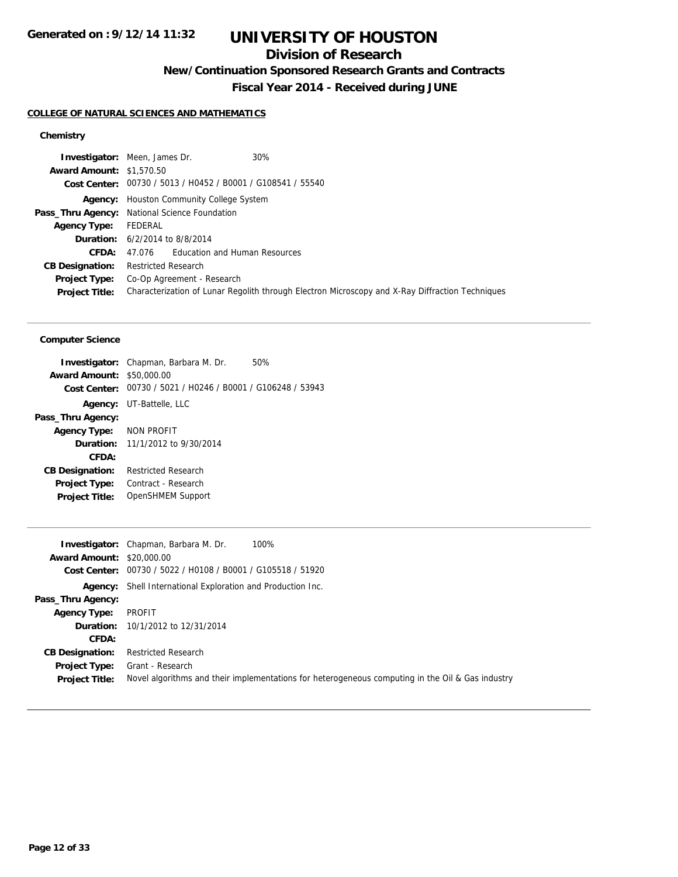## **Division of Research**

**New/Continuation Sponsored Research Grants and Contracts**

**Fiscal Year 2014 - Received during JUNE**

#### **COLLEGE OF NATURAL SCIENCES AND MATHEMATICS**

### **Chemistry**

|                                 | 30%<br><b>Investigator:</b> Meen, James Dr.                 |                                                                                                 |
|---------------------------------|-------------------------------------------------------------|-------------------------------------------------------------------------------------------------|
| <b>Award Amount: \$1,570.50</b> |                                                             |                                                                                                 |
|                                 | Cost Center: 00730 / 5013 / H0452 / B0001 / G108541 / 55540 |                                                                                                 |
|                                 | <b>Agency:</b> Houston Community College System             |                                                                                                 |
|                                 | Pass_Thru Agency: National Science Foundation               |                                                                                                 |
| <b>Agency Type:</b>             | FEDERAL                                                     |                                                                                                 |
|                                 | <b>Duration:</b> 6/2/2014 to 8/8/2014                       |                                                                                                 |
| CFDA:                           | 47.076 Education and Human Resources                        |                                                                                                 |
| <b>CB Designation:</b>          | Restricted Research                                         |                                                                                                 |
| <b>Project Type:</b>            | Co-Op Agreement - Research                                  |                                                                                                 |
| <b>Project Title:</b>           |                                                             | Characterization of Lunar Regolith through Electron Microscopy and X-Ray Diffraction Techniques |

#### **Computer Science**

| <b>Investigator:</b> Chapman, Barbara M. Dr.                | 50% |
|-------------------------------------------------------------|-----|
| <b>Award Amount: \$50,000.00</b>                            |     |
| Cost Center: 00730 / 5021 / H0246 / B0001 / G106248 / 53943 |     |
| <b>Agency:</b> UT-Battelle, LLC                             |     |
|                                                             |     |
| Agency Type: NON PROFIT                                     |     |
| <b>Duration:</b> 11/1/2012 to 9/30/2014                     |     |
|                                                             |     |
| <b>Restricted Research</b>                                  |     |
| Contract - Research                                         |     |
| OpenSHMEM Support                                           |     |
|                                                             |     |

| <b>Investigator:</b> Chapman, Barbara M. Dr.<br>100%                                             |
|--------------------------------------------------------------------------------------------------|
| <b>Award Amount: \$20,000.00</b>                                                                 |
| Cost Center: 00730 / 5022 / H0108 / B0001 / G105518 / 51920                                      |
| <b>Agency:</b> Shell International Exploration and Production Inc.                               |
|                                                                                                  |
| PROFIT                                                                                           |
| <b>Duration:</b> 10/1/2012 to 12/31/2014                                                         |
|                                                                                                  |
| <b>Restricted Research</b>                                                                       |
| Grant - Research                                                                                 |
| Novel algorithms and their implementations for heterogeneous computing in the Oil & Gas industry |
|                                                                                                  |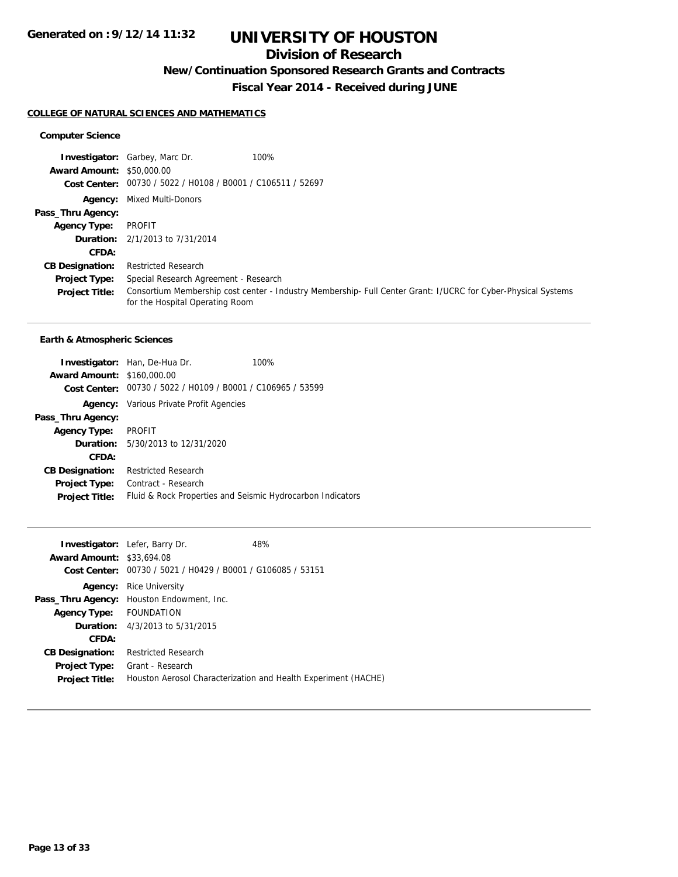## **Division of Research**

**New/Continuation Sponsored Research Grants and Contracts**

**Fiscal Year 2014 - Received during JUNE**

#### **COLLEGE OF NATURAL SCIENCES AND MATHEMATICS**

#### **Computer Science**

|                                  | 100%<br><b>Investigator:</b> Garbey, Marc Dr.                                                                                                    |  |
|----------------------------------|--------------------------------------------------------------------------------------------------------------------------------------------------|--|
| <b>Award Amount: \$50,000.00</b> |                                                                                                                                                  |  |
|                                  | Cost Center: 00730 / 5022 / H0108 / B0001 / C106511 / 52697                                                                                      |  |
| Agency:                          | Mixed Multi-Donors                                                                                                                               |  |
| Pass_Thru Agency:                |                                                                                                                                                  |  |
| <b>Agency Type:</b>              | PROFIT                                                                                                                                           |  |
|                                  | <b>Duration:</b> 2/1/2013 to 7/31/2014                                                                                                           |  |
| <b>CFDA:</b>                     |                                                                                                                                                  |  |
| <b>CB Designation:</b>           | <b>Restricted Research</b>                                                                                                                       |  |
| <b>Project Type:</b>             | Special Research Agreement - Research                                                                                                            |  |
| <b>Project Title:</b>            | Consortium Membership cost center - Industry Membership- Full Center Grant: I/UCRC for Cyber-Physical Systems<br>for the Hospital Operating Room |  |

#### **Earth & Atmospheric Sciences**

|                                   | <b>Investigator:</b> Han, De-Hua Dr.                        | 100% |
|-----------------------------------|-------------------------------------------------------------|------|
| <b>Award Amount: \$160,000.00</b> |                                                             |      |
|                                   | Cost Center: 00730 / 5022 / H0109 / B0001 / C106965 / 53599 |      |
|                                   | <b>Agency:</b> Various Private Profit Agencies              |      |
| Pass_Thru Agency:                 |                                                             |      |
| <b>Agency Type:</b>               | PROFIT                                                      |      |
|                                   | <b>Duration:</b> 5/30/2013 to 12/31/2020                    |      |
| CFDA:                             |                                                             |      |
| <b>CB Designation:</b>            | <b>Restricted Research</b>                                  |      |
| <b>Project Type:</b>              | Contract - Research                                         |      |
| <b>Project Title:</b>             | Fluid & Rock Properties and Seismic Hydrocarbon Indicators  |      |

| <b>Award Amount: \$33,694.08</b><br>Cost Center: | <b>Investigator:</b> Lefer, Barry Dr.<br>00730 / 5021 / H0429 / B0001 / G106085 / 53151 | 48%                                                            |
|--------------------------------------------------|-----------------------------------------------------------------------------------------|----------------------------------------------------------------|
| Agency:                                          | <b>Rice University</b>                                                                  |                                                                |
| Pass_Thru Agency:                                | Houston Endowment, Inc.                                                                 |                                                                |
| <b>Agency Type:</b>                              | <b>FOUNDATION</b>                                                                       |                                                                |
|                                                  | <b>Duration:</b> 4/3/2013 to 5/31/2015                                                  |                                                                |
| CFDA:                                            |                                                                                         |                                                                |
| <b>CB Designation:</b>                           | <b>Restricted Research</b>                                                              |                                                                |
| <b>Project Type:</b>                             | Grant - Research                                                                        |                                                                |
| <b>Project Title:</b>                            |                                                                                         | Houston Aerosol Characterization and Health Experiment (HACHE) |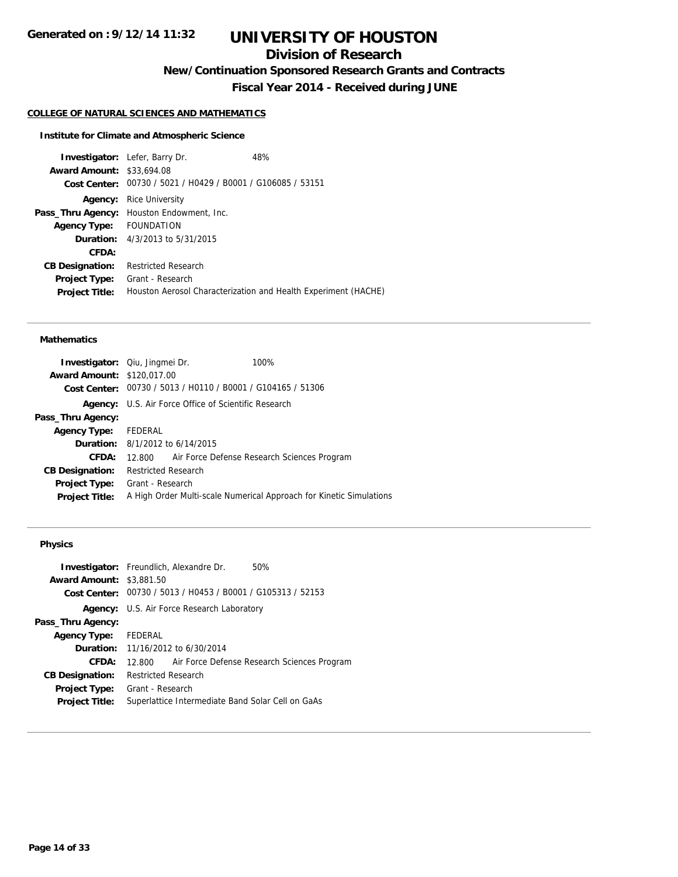## **Division of Research**

**New/Continuation Sponsored Research Grants and Contracts**

**Fiscal Year 2014 - Received during JUNE**

#### **COLLEGE OF NATURAL SCIENCES AND MATHEMATICS**

### **Institute for Climate and Atmospheric Science**

|                                  | <b>Investigator:</b> Lefer, Barry Dr.                       | 48%                                                            |
|----------------------------------|-------------------------------------------------------------|----------------------------------------------------------------|
| <b>Award Amount: \$33,694.08</b> |                                                             |                                                                |
|                                  | Cost Center: 00730 / 5021 / H0429 / B0001 / G106085 / 53151 |                                                                |
| Agency:                          | <b>Rice University</b>                                      |                                                                |
|                                  | Pass_Thru Agency: Houston Endowment, Inc.                   |                                                                |
| <b>Agency Type:</b>              | <b>FOUNDATION</b>                                           |                                                                |
|                                  | <b>Duration:</b> 4/3/2013 to 5/31/2015                      |                                                                |
| CFDA:                            |                                                             |                                                                |
| <b>CB Designation:</b>           | <b>Restricted Research</b>                                  |                                                                |
| <b>Project Type:</b>             | Grant - Research                                            |                                                                |
| <b>Project Title:</b>            |                                                             | Houston Aerosol Characterization and Health Experiment (HACHE) |

#### **Mathematics**

| <b>Investigator:</b> Qiu, Jingmei Dr.                       | 100%                                                                |
|-------------------------------------------------------------|---------------------------------------------------------------------|
| <b>Award Amount: \$120.017.00</b>                           |                                                                     |
| Cost Center: 00730 / 5013 / H0110 / B0001 / G104165 / 51306 |                                                                     |
| <b>Agency:</b> U.S. Air Force Office of Scientific Research |                                                                     |
|                                                             |                                                                     |
| Agency Type: FEDERAL                                        |                                                                     |
| <b>Duration:</b> 8/1/2012 to 6/14/2015                      |                                                                     |
| 12.800 Air Force Defense Research Sciences Program          |                                                                     |
| Restricted Research                                         |                                                                     |
| Grant - Research                                            |                                                                     |
|                                                             | A High Order Multi-scale Numerical Approach for Kinetic Simulations |
|                                                             |                                                                     |

### **Physics**

| <b>Award Amount: \$3,881.50</b> | <b>Investigator:</b> Freundlich, Alexandre Dr.<br>50%<br>Cost Center: 00730 / 5013 / H0453 / B0001 / G105313 / 52153 |  |  |
|---------------------------------|----------------------------------------------------------------------------------------------------------------------|--|--|
|                                 |                                                                                                                      |  |  |
|                                 | <b>Agency:</b> U.S. Air Force Research Laboratory                                                                    |  |  |
| Pass_Thru Agency:               |                                                                                                                      |  |  |
| Agency Type: FEDERAL            |                                                                                                                      |  |  |
|                                 | <b>Duration:</b> 11/16/2012 to 6/30/2014                                                                             |  |  |
| CFDA:                           | 12.800 Air Force Defense Research Sciences Program                                                                   |  |  |
| <b>CB Designation:</b>          | <b>Restricted Research</b>                                                                                           |  |  |
| Project Type:                   | Grant - Research                                                                                                     |  |  |
| <b>Project Title:</b>           | Superlattice Intermediate Band Solar Cell on GaAs                                                                    |  |  |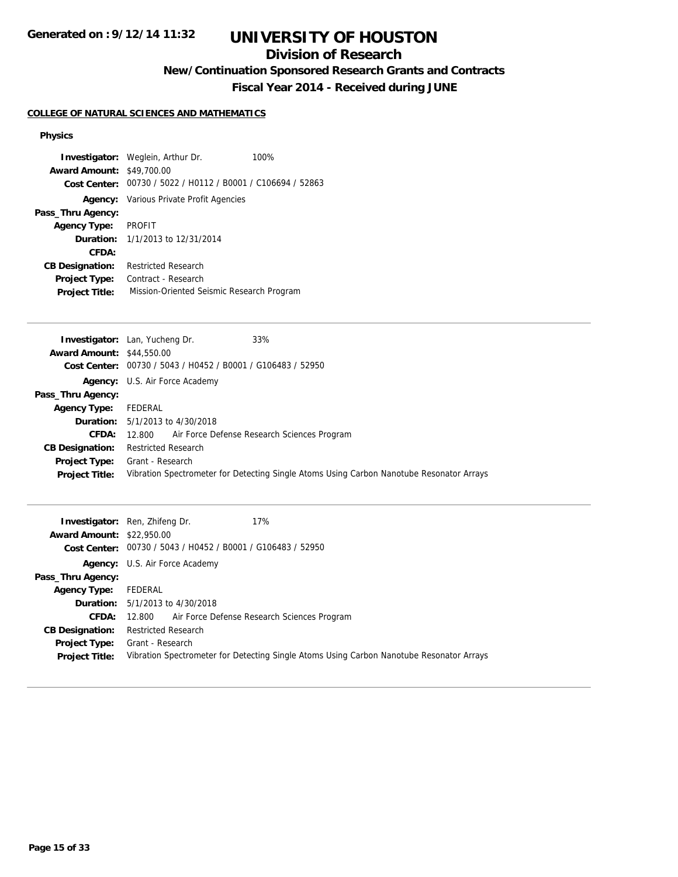# **UNIVERSITY OF HOUSTON**

## **Division of Research**

**New/Continuation Sponsored Research Grants and Contracts**

**Fiscal Year 2014 - Received during JUNE**

### **COLLEGE OF NATURAL SCIENCES AND MATHEMATICS**

#### **Physics**

|                                  | <b>Investigator:</b> Weglein, Arthur Dr.       | 100% |
|----------------------------------|------------------------------------------------|------|
| <b>Award Amount: \$49,700.00</b> |                                                |      |
| Cost Center:                     | 00730 / 5022 / H0112 / B0001 / C106694 / 52863 |      |
|                                  | <b>Agency:</b> Various Private Profit Agencies |      |
| Pass_Thru Agency:                |                                                |      |
| <b>Agency Type:</b>              | <b>PROFIT</b>                                  |      |
|                                  | <b>Duration:</b> $1/1/2013$ to $12/31/2014$    |      |
| CFDA:                            |                                                |      |
| <b>CB Designation:</b>           | <b>Restricted Research</b>                     |      |
| <b>Project Type:</b>             | Contract - Research                            |      |
| <b>Project Title:</b>            | Mission-Oriented Seismic Research Program      |      |
|                                  |                                                |      |

|                                  | 33%<br><b>Investigator:</b> Lan, Yucheng Dr.                                             |
|----------------------------------|------------------------------------------------------------------------------------------|
| <b>Award Amount: \$44,550.00</b> |                                                                                          |
| Cost Center:                     | 00730 / 5043 / H0452 / B0001 / G106483 / 52950                                           |
|                                  | <b>Agency:</b> U.S. Air Force Academy                                                    |
| Pass_Thru Agency:                |                                                                                          |
| <b>Agency Type:</b>              | FEDERAL                                                                                  |
|                                  | <b>Duration:</b> $5/1/2013$ to $4/30/2018$                                               |
| CFDA:                            | Air Force Defense Research Sciences Program<br>12.800                                    |
| <b>CB Designation:</b>           | <b>Restricted Research</b>                                                               |
|                                  | <b>Project Type:</b> Grant - Research                                                    |
| <b>Project Title:</b>            | Vibration Spectrometer for Detecting Single Atoms Using Carbon Nanotube Resonator Arrays |

| <b>Award Amount: \$22,950.00</b>       | 17%<br><b>Investigator:</b> Ren, Zhifeng Dr.<br>Cost Center: 00730 / 5043 / H0452 / B0001 / G106483 / 52950  |
|----------------------------------------|--------------------------------------------------------------------------------------------------------------|
|                                        | <b>Agency:</b> U.S. Air Force Academy                                                                        |
| Pass_Thru Agency:                      |                                                                                                              |
| <b>Agency Type:</b>                    | FEDERAL                                                                                                      |
|                                        | <b>Duration:</b> 5/1/2013 to 4/30/2018                                                                       |
| <b>CFDA:</b>                           | 12.800 Air Force Defense Research Sciences Program                                                           |
| <b>CB Designation:</b>                 | <b>Restricted Research</b>                                                                                   |
| Project Type:<br><b>Project Title:</b> | Grant - Research<br>Vibration Spectrometer for Detecting Single Atoms Using Carbon Nanotube Resonator Arrays |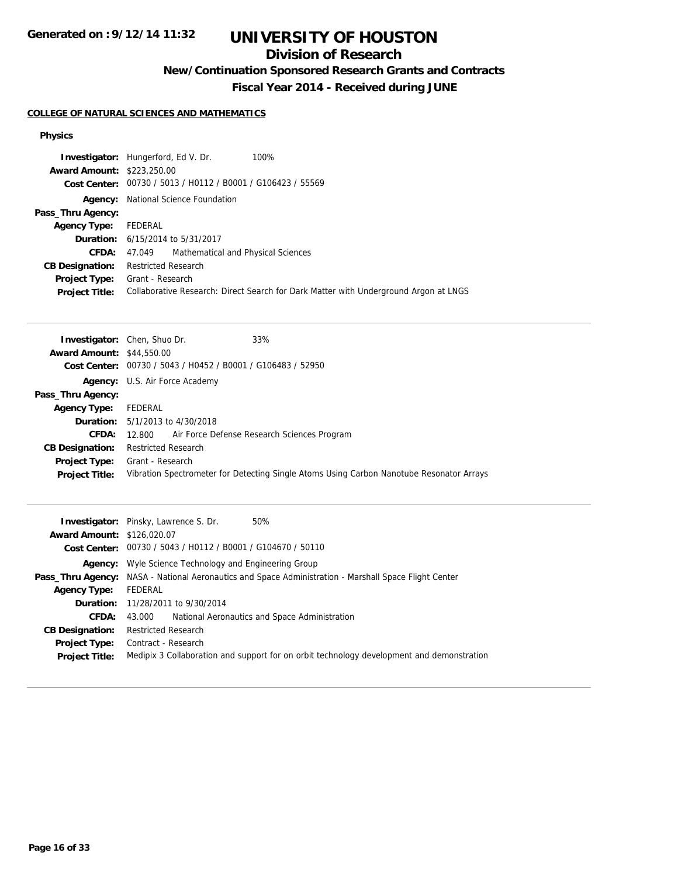# **UNIVERSITY OF HOUSTON**

## **Division of Research**

**New/Continuation Sponsored Research Grants and Contracts**

**Fiscal Year 2014 - Received during JUNE**

### **COLLEGE OF NATURAL SCIENCES AND MATHEMATICS**

#### **Physics**

|                                   | <b>Investigator:</b> Hungerford, Ed V. Dr.                  | 100%                                                                                 |
|-----------------------------------|-------------------------------------------------------------|--------------------------------------------------------------------------------------|
| <b>Award Amount: \$223,250.00</b> |                                                             |                                                                                      |
|                                   | Cost Center: 00730 / 5013 / H0112 / B0001 / G106423 / 55569 |                                                                                      |
|                                   | <b>Agency:</b> National Science Foundation                  |                                                                                      |
| Pass_Thru Agency:                 |                                                             |                                                                                      |
| <b>Agency Type:</b>               | FEDERAL                                                     |                                                                                      |
|                                   | <b>Duration:</b> 6/15/2014 to 5/31/2017                     |                                                                                      |
| <b>CFDA:</b>                      | 47.049 Mathematical and Physical Sciences                   |                                                                                      |
| <b>CB Designation:</b>            | <b>Restricted Research</b>                                  |                                                                                      |
| Project Type:                     | Grant - Research                                            |                                                                                      |
| <b>Project Title:</b>             |                                                             | Collaborative Research: Direct Search for Dark Matter with Underground Argon at LNGS |

|                                  | 33%<br><b>Investigator:</b> Chen, Shuo Dr.                  |                                                                                          |
|----------------------------------|-------------------------------------------------------------|------------------------------------------------------------------------------------------|
| <b>Award Amount: \$44,550.00</b> |                                                             |                                                                                          |
|                                  | Cost Center: 00730 / 5043 / H0452 / B0001 / G106483 / 52950 |                                                                                          |
|                                  | <b>Agency:</b> U.S. Air Force Academy                       |                                                                                          |
| Pass_Thru Agency:                |                                                             |                                                                                          |
| <b>Agency Type:</b>              | FEDERAL                                                     |                                                                                          |
|                                  | <b>Duration:</b> $5/1/2013$ to $4/30/2018$                  |                                                                                          |
| <b>CFDA:</b>                     | 12.800 Air Force Defense Research Sciences Program          |                                                                                          |
| <b>CB Designation:</b>           | <b>Restricted Research</b>                                  |                                                                                          |
|                                  | <b>Project Type:</b> Grant - Research                       |                                                                                          |
| <b>Project Title:</b>            |                                                             | Vibration Spectrometer for Detecting Single Atoms Using Carbon Nanotube Resonator Arrays |

|                                   | 50%<br><b>Investigator:</b> Pinsky, Lawrence S. Dr.                                                          |
|-----------------------------------|--------------------------------------------------------------------------------------------------------------|
| <b>Award Amount: \$126,020.07</b> |                                                                                                              |
|                                   | Cost Center: 00730 / 5043 / H0112 / B0001 / G104670 / 50110                                                  |
|                                   | <b>Agency:</b> Wyle Science Technology and Engineering Group                                                 |
|                                   | <b>Pass_Thru Agency:</b> NASA - National Aeronautics and Space Administration - Marshall Space Flight Center |
| <b>Agency Type:</b>               | FEDERAL                                                                                                      |
|                                   | <b>Duration:</b> 11/28/2011 to 9/30/2014                                                                     |
| <b>CFDA:</b>                      | National Aeronautics and Space Administration<br>43.000                                                      |
| <b>CB Designation:</b>            | <b>Restricted Research</b>                                                                                   |
| <b>Project Type:</b>              | Contract - Research                                                                                          |
| <b>Project Title:</b>             | Medipix 3 Collaboration and support for on orbit technology development and demonstration                    |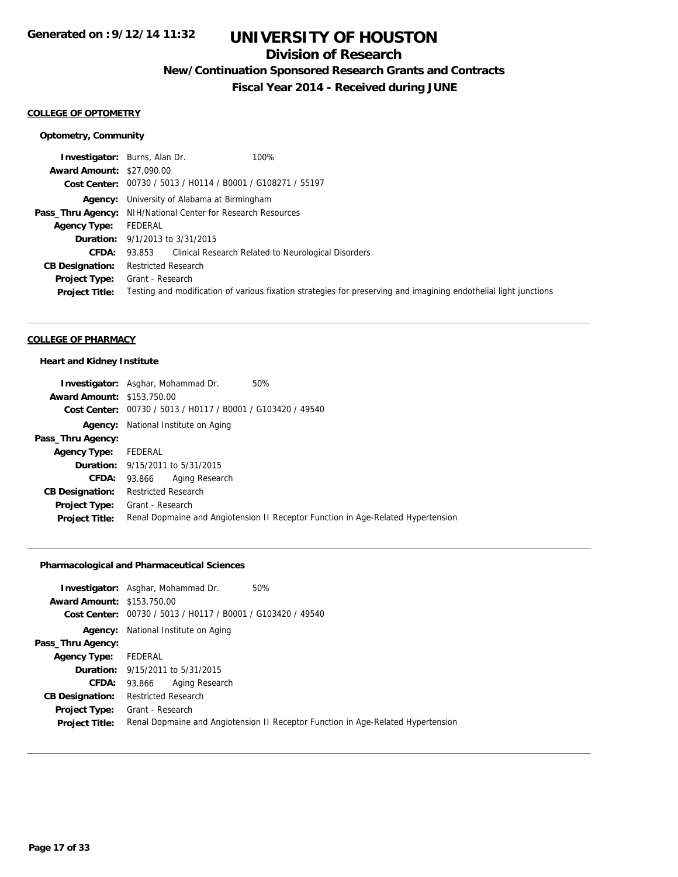## **Division of Research**

**New/Continuation Sponsored Research Grants and Contracts**

**Fiscal Year 2014 - Received during JUNE**

#### **COLLEGE OF OPTOMETRY**

### **Optometry, Community**

|                                  | 100%<br><b>Investigator:</b> Burns, Alan Dr.                                                                     |
|----------------------------------|------------------------------------------------------------------------------------------------------------------|
| <b>Award Amount: \$27,090.00</b> |                                                                                                                  |
|                                  | Cost Center: 00730 / 5013 / H0114 / B0001 / G108271 / 55197                                                      |
|                                  | <b>Agency:</b> University of Alabama at Birmingham                                                               |
|                                  | <b>Pass_Thru Agency:</b> NIH/National Center for Research Resources                                              |
| Agency Type:                     | FEDERAL                                                                                                          |
|                                  | <b>Duration:</b> $9/1/2013$ to $3/31/2015$                                                                       |
| <b>CFDA:</b>                     | Clinical Research Related to Neurological Disorders<br>93.853                                                    |
| <b>CB Designation:</b>           | <b>Restricted Research</b>                                                                                       |
| <b>Project Type:</b>             | Grant - Research                                                                                                 |
| <b>Project Title:</b>            | Testing and modification of various fixation strategies for preserving and imagining endothelial light junctions |

#### **COLLEGE OF PHARMACY**

#### **Heart and Kidney Institute**

|                                   | <b>Investigator:</b> Asghar, Mohammad Dr.<br>50%                                 |
|-----------------------------------|----------------------------------------------------------------------------------|
| <b>Award Amount: \$153,750.00</b> |                                                                                  |
|                                   | Cost Center: 00730 / 5013 / H0117 / B0001 / G103420 / 49540                      |
|                                   | <b>Agency:</b> National Institute on Aging                                       |
| Pass_Thru Agency:                 |                                                                                  |
| <b>Agency Type:</b>               | FEDERAL                                                                          |
|                                   | <b>Duration:</b> 9/15/2011 to 5/31/2015                                          |
| <b>CFDA:</b>                      | Aging Research<br>93.866                                                         |
| <b>CB Designation:</b>            | <b>Restricted Research</b>                                                       |
| Project Type:                     | Grant - Research                                                                 |
| <b>Project Title:</b>             | Renal Dopmaine and Angiotension II Receptor Function in Age-Related Hypertension |

### **Pharmacological and Pharmaceutical Sciences**

| <b>Investigator:</b> Asghar, Mohammad Dr.                   | 50%                                                                              |
|-------------------------------------------------------------|----------------------------------------------------------------------------------|
| <b>Award Amount: \$153,750.00</b>                           |                                                                                  |
| Cost Center: 00730 / 5013 / H0117 / B0001 / G103420 / 49540 |                                                                                  |
| National Institute on Aging                                 |                                                                                  |
|                                                             |                                                                                  |
| Agency Type: FEDERAL                                        |                                                                                  |
| <b>Duration:</b> 9/15/2011 to 5/31/2015                     |                                                                                  |
| Aging Research<br>93.866                                    |                                                                                  |
| <b>Restricted Research</b>                                  |                                                                                  |
| Grant - Research                                            |                                                                                  |
|                                                             | Renal Dopmaine and Angiotension II Receptor Function in Age-Related Hypertension |
|                                                             |                                                                                  |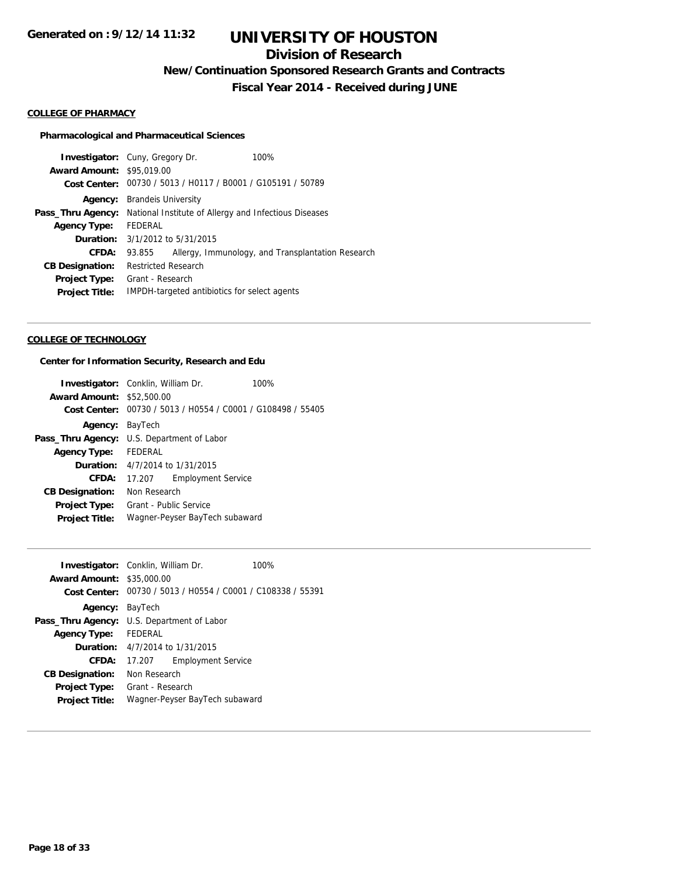## **Division of Research**

**New/Continuation Sponsored Research Grants and Contracts**

**Fiscal Year 2014 - Received during JUNE**

#### **COLLEGE OF PHARMACY**

#### **Pharmacological and Pharmaceutical Sciences**

|                                                             | 100%                                                                                                                 |  |
|-------------------------------------------------------------|----------------------------------------------------------------------------------------------------------------------|--|
|                                                             |                                                                                                                      |  |
| Cost Center: 00730 / 5013 / H0117 / B0001 / G105191 / 50789 |                                                                                                                      |  |
| <b>Brandels University</b>                                  |                                                                                                                      |  |
| National Institute of Allergy and Infectious Diseases       |                                                                                                                      |  |
| FEDERAL                                                     |                                                                                                                      |  |
|                                                             |                                                                                                                      |  |
| 93.855                                                      | Allergy, Immunology, and Transplantation Research                                                                    |  |
| <b>Restricted Research</b>                                  |                                                                                                                      |  |
| Grant - Research                                            |                                                                                                                      |  |
| IMPDH-targeted antibiotics for select agents                |                                                                                                                      |  |
|                                                             | <b>Investigator:</b> Cuny, Gregory Dr.<br><b>Award Amount: \$95,019.00</b><br><b>Duration:</b> 3/1/2012 to 5/31/2015 |  |

#### **COLLEGE OF TECHNOLOGY**

### **Center for Information Security, Research and Edu**

|                                  | <b>Investigator:</b> Conklin, William Dr.                   | 100% |
|----------------------------------|-------------------------------------------------------------|------|
| <b>Award Amount: \$52,500.00</b> |                                                             |      |
|                                  | Cost Center: 00730 / 5013 / H0554 / C0001 / G108498 / 55405 |      |
| Agency:                          | BayTech                                                     |      |
|                                  | <b>Pass_Thru Agency:</b> U.S. Department of Labor           |      |
| Agency Type:                     | <b>FEDERAL</b>                                              |      |
|                                  | <b>Duration:</b> $4/7/2014$ to $1/31/2015$                  |      |
| CFDA:                            | 17.207 Employment Service                                   |      |
| <b>CB Designation:</b>           | Non Research                                                |      |
| <b>Project Type:</b>             | Grant - Public Service                                      |      |
| <b>Project Title:</b>            | Wagner-Peyser BayTech subaward                              |      |
|                                  |                                                             |      |

| <b>Investigator:</b> Conklin, William Dr. |                                                   |                                                | 100% |
|-------------------------------------------|---------------------------------------------------|------------------------------------------------|------|
| <b>Award Amount: \$35,000.00</b>          |                                                   |                                                |      |
| <b>Cost Center:</b>                       |                                                   | 00730 / 5013 / H0554 / C0001 / C108338 / 55391 |      |
| <b>Agency: BayTech</b>                    |                                                   |                                                |      |
|                                           | <b>Pass_Thru Agency:</b> U.S. Department of Labor |                                                |      |
| <b>Agency Type:</b>                       | FEDERAL                                           |                                                |      |
|                                           | <b>Duration:</b> $4/7/2014$ to $1/31/2015$        |                                                |      |
| CFDA:                                     | 17.207                                            | <b>Employment Service</b>                      |      |
| <b>CB Designation:</b>                    | Non Research                                      |                                                |      |
| <b>Project Type:</b>                      | Grant - Research                                  |                                                |      |
| <b>Project Title:</b>                     | Wagner-Peyser BayTech subaward                    |                                                |      |
|                                           |                                                   |                                                |      |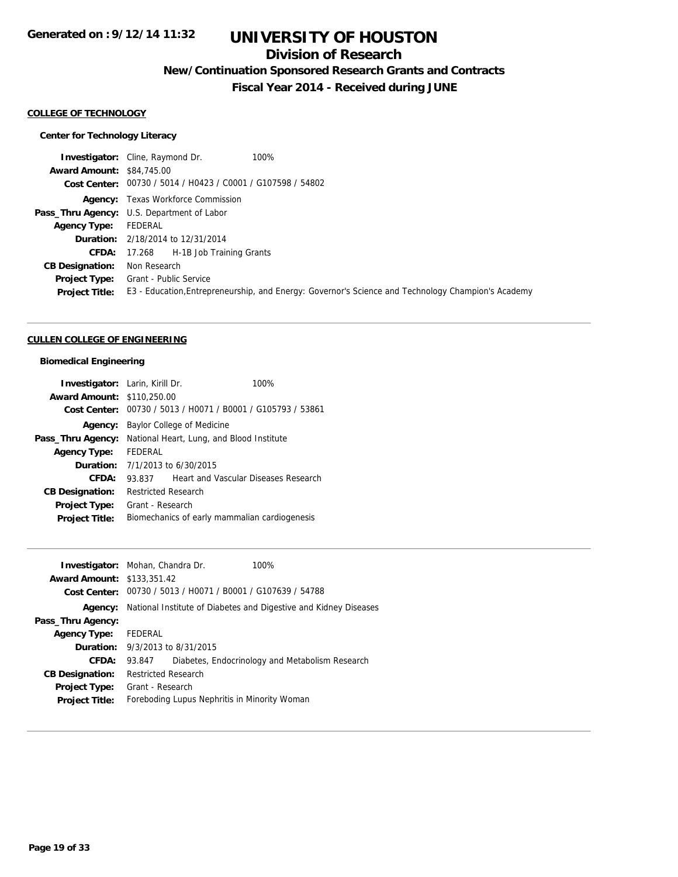## **Division of Research**

**New/Continuation Sponsored Research Grants and Contracts**

**Fiscal Year 2014 - Received during JUNE**

#### **COLLEGE OF TECHNOLOGY**

### **Center for Technology Literacy**

|                                  | 100%<br><b>Investigator:</b> Cline, Raymond Dr.                                                    |
|----------------------------------|----------------------------------------------------------------------------------------------------|
| <b>Award Amount: \$84,745.00</b> |                                                                                                    |
|                                  | Cost Center: 00730 / 5014 / H0423 / C0001 / G107598 / 54802                                        |
|                                  | <b>Agency:</b> Texas Workforce Commission                                                          |
|                                  | Pass_Thru Agency: U.S. Department of Labor                                                         |
| <b>Agency Type:</b>              | FEDERAL                                                                                            |
|                                  | <b>Duration:</b> 2/18/2014 to 12/31/2014                                                           |
|                                  | <b>CFDA:</b> 17.268 H-1B Job Training Grants                                                       |
| <b>CB Designation:</b>           | Non Research                                                                                       |
| <b>Project Type:</b>             | <b>Grant - Public Service</b>                                                                      |
| <b>Project Title:</b>            | E3 - Education, Entrepreneurship, and Energy: Governor's Science and Technology Champion's Academy |
|                                  |                                                                                                    |

#### **CULLEN COLLEGE OF ENGINEERING**

### **Biomedical Engineering**

| <b>Investigator:</b> Larin, Kirill Dr. |                                               | 100%                                                        |
|----------------------------------------|-----------------------------------------------|-------------------------------------------------------------|
| <b>Award Amount: \$110,250.00</b>      |                                               |                                                             |
|                                        |                                               | Cost Center: 00730 / 5013 / H0071 / B0001 / G105793 / 53861 |
| Agency:                                | Baylor College of Medicine                    |                                                             |
| Pass_Thru Agency:                      |                                               | National Heart, Lung, and Blood Institute                   |
| <b>Agency Type:</b>                    | FEDERAL                                       |                                                             |
|                                        | <b>Duration:</b> $7/1/2013$ to $6/30/2015$    |                                                             |
| CFDA:                                  | 93.837                                        | Heart and Vascular Diseases Research                        |
| <b>CB Designation:</b>                 | <b>Restricted Research</b>                    |                                                             |
| <b>Project Type:</b>                   | Grant - Research                              |                                                             |
| <b>Project Title:</b>                  | Biomechanics of early mammalian cardiogenesis |                                                             |

|                                   | <b>Investigator:</b> Mohan, Chandra Dr.                          | 100%                                            |
|-----------------------------------|------------------------------------------------------------------|-------------------------------------------------|
| <b>Award Amount: \$133,351.42</b> |                                                                  |                                                 |
| Cost Center:                      | 00730 / 5013 / H0071 / B0001 / G107639 / 54788                   |                                                 |
| Agency:                           | National Institute of Diabetes and Digestive and Kidney Diseases |                                                 |
| Pass_Thru Agency:                 |                                                                  |                                                 |
| <b>Agency Type:</b>               | FEDERAL                                                          |                                                 |
|                                   | <b>Duration:</b> $9/3/2013$ to $8/31/2015$                       |                                                 |
| CFDA:                             | 93.847                                                           | Diabetes, Endocrinology and Metabolism Research |
| <b>CB Designation:</b>            | <b>Restricted Research</b>                                       |                                                 |
| <b>Project Type:</b>              | Grant - Research                                                 |                                                 |
| <b>Project Title:</b>             | Foreboding Lupus Nephritis in Minority Woman                     |                                                 |
|                                   |                                                                  |                                                 |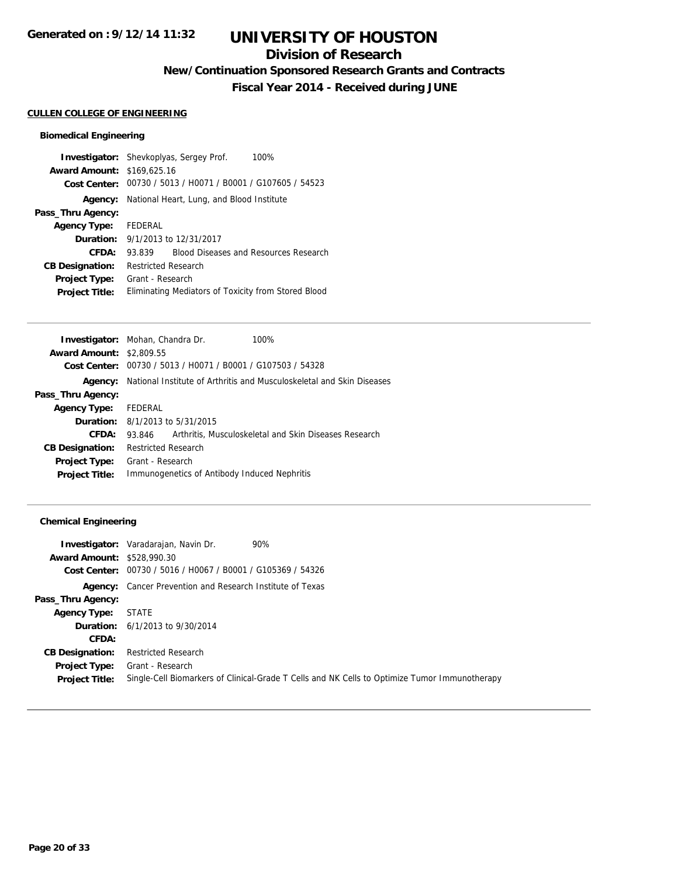## **Division of Research**

**New/Continuation Sponsored Research Grants and Contracts**

**Fiscal Year 2014 - Received during JUNE**

#### **CULLEN COLLEGE OF ENGINEERING**

### **Biomedical Engineering**

|                                   | <b>Investigator:</b> Shevkoplyas, Sergey Prof.<br>100% |  |  |
|-----------------------------------|--------------------------------------------------------|--|--|
| <b>Award Amount: \$169,625.16</b> |                                                        |  |  |
| Cost Center:                      | 00730 / 5013 / H0071 / B0001 / G107605 / 54523         |  |  |
| Agency:                           | National Heart, Lung, and Blood Institute              |  |  |
| Pass_Thru Agency:                 |                                                        |  |  |
| <b>Agency Type:</b>               | FEDERAL                                                |  |  |
|                                   | <b>Duration:</b> 9/1/2013 to 12/31/2017                |  |  |
| CFDA:                             | <b>Blood Diseases and Resources Research</b><br>93.839 |  |  |
| <b>CB Designation:</b>            | <b>Restricted Research</b>                             |  |  |
| <b>Project Type:</b>              | Grant - Research                                       |  |  |
| <b>Project Title:</b>             | Eliminating Mediators of Toxicity from Stored Blood    |  |  |

|                                 | <b>Investigator:</b> Mohan, Chandra Dr.        | 100%                                                                  |
|---------------------------------|------------------------------------------------|-----------------------------------------------------------------------|
| <b>Award Amount: \$2,809.55</b> |                                                |                                                                       |
| Cost Center:                    | 00730 / 5013 / H0071 / B0001 / G107503 / 54328 |                                                                       |
| Agency:                         |                                                | National Institute of Arthritis and Musculoskeletal and Skin Diseases |
| Pass_Thru Agency:               |                                                |                                                                       |
| <b>Agency Type:</b>             | FEDERAL                                        |                                                                       |
|                                 | <b>Duration:</b> $8/1/2013$ to $5/31/2015$     |                                                                       |
| CFDA:                           | 93.846                                         | Arthritis, Musculoskeletal and Skin Diseases Research                 |
| <b>CB Designation:</b>          | <b>Restricted Research</b>                     |                                                                       |
| <b>Project Type:</b>            | Grant - Research                               |                                                                       |
| <b>Project Title:</b>           | Immunogenetics of Antibody Induced Nephritis   |                                                                       |
|                                 |                                                |                                                                       |

### **Chemical Engineering**

|                                   | 90%<br><b>Investigator:</b> Varadarajan, Navin Dr.                                            |
|-----------------------------------|-----------------------------------------------------------------------------------------------|
| <b>Award Amount: \$528,990.30</b> |                                                                                               |
|                                   | Cost Center: 00730 / 5016 / H0067 / B0001 / G105369 / 54326                                   |
|                                   | <b>Agency:</b> Cancer Prevention and Research Institute of Texas                              |
| Pass_Thru Agency:                 |                                                                                               |
| <b>Agency Type:</b>               | STATE                                                                                         |
|                                   | <b>Duration:</b> 6/1/2013 to 9/30/2014                                                        |
| CFDA:                             |                                                                                               |
| <b>CB Designation:</b>            | <b>Restricted Research</b>                                                                    |
|                                   | <b>Project Type:</b> Grant - Research                                                         |
| <b>Project Title:</b>             | Single-Cell Biomarkers of Clinical-Grade T Cells and NK Cells to Optimize Tumor Immunotherapy |
|                                   |                                                                                               |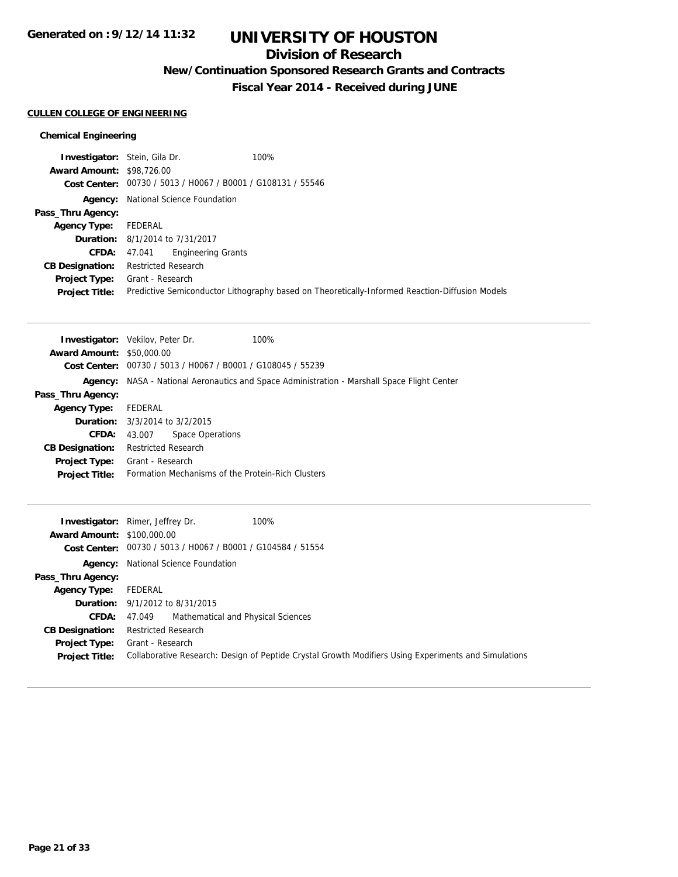## **Division of Research**

**New/Continuation Sponsored Research Grants and Contracts**

**Fiscal Year 2014 - Received during JUNE**

### **CULLEN COLLEGE OF ENGINEERING**

### **Chemical Engineering**

| <b>Investigator:</b> Stein, Gila Dr.                        | 100%                                                                                           |
|-------------------------------------------------------------|------------------------------------------------------------------------------------------------|
| <b>Award Amount: \$98,726.00</b>                            |                                                                                                |
| Cost Center: 00730 / 5013 / H0067 / B0001 / G108131 / 55546 |                                                                                                |
| National Science Foundation                                 |                                                                                                |
|                                                             |                                                                                                |
| FEDERAL                                                     |                                                                                                |
| <b>Duration:</b> 8/1/2014 to 7/31/2017                      |                                                                                                |
| <b>Engineering Grants</b><br>47.041                         |                                                                                                |
| <b>Restricted Research</b>                                  |                                                                                                |
| <b>Project Type:</b> Grant - Research                       |                                                                                                |
|                                                             | Predictive Semiconductor Lithography based on Theoretically-Informed Reaction-Diffusion Models |
|                                                             |                                                                                                |

|                                  | <b>Investigator:</b> Vekilov, Peter Dr.           | 100%                                                                                |
|----------------------------------|---------------------------------------------------|-------------------------------------------------------------------------------------|
| <b>Award Amount: \$50,000.00</b> |                                                   |                                                                                     |
| Cost Center:                     | 00730 / 5013 / H0067 / B0001 / G108045 / 55239    |                                                                                     |
| Agency:                          |                                                   | NASA - National Aeronautics and Space Administration - Marshall Space Flight Center |
| Pass_Thru Agency:                |                                                   |                                                                                     |
| <b>Agency Type:</b>              | FEDERAL                                           |                                                                                     |
|                                  | <b>Duration:</b> 3/3/2014 to 3/2/2015             |                                                                                     |
| CFDA:                            | Space Operations<br>43.007                        |                                                                                     |
| <b>CB Designation:</b>           | <b>Restricted Research</b>                        |                                                                                     |
| Project Type:                    | Grant - Research                                  |                                                                                     |
| <b>Project Title:</b>            | Formation Mechanisms of the Protein-Rich Clusters |                                                                                     |
|                                  |                                                   |                                                                                     |

|                                   | 100%<br><b>Investigator:</b> Rimer, Jeffrey Dr.                                                      |
|-----------------------------------|------------------------------------------------------------------------------------------------------|
| <b>Award Amount: \$100,000.00</b> |                                                                                                      |
|                                   | Cost Center: 00730 / 5013 / H0067 / B0001 / G104584 / 51554                                          |
|                                   | <b>Agency:</b> National Science Foundation                                                           |
| Pass_Thru Agency:                 |                                                                                                      |
| <b>Agency Type:</b>               | FEDERAL                                                                                              |
|                                   | <b>Duration:</b> $9/1/2012$ to $8/31/2015$                                                           |
| <b>CFDA:</b>                      | Mathematical and Physical Sciences<br>47.049                                                         |
| <b>CB Designation:</b>            | <b>Restricted Research</b>                                                                           |
|                                   | <b>Project Type:</b> Grant - Research                                                                |
| <b>Project Title:</b>             | Collaborative Research: Design of Peptide Crystal Growth Modifiers Using Experiments and Simulations |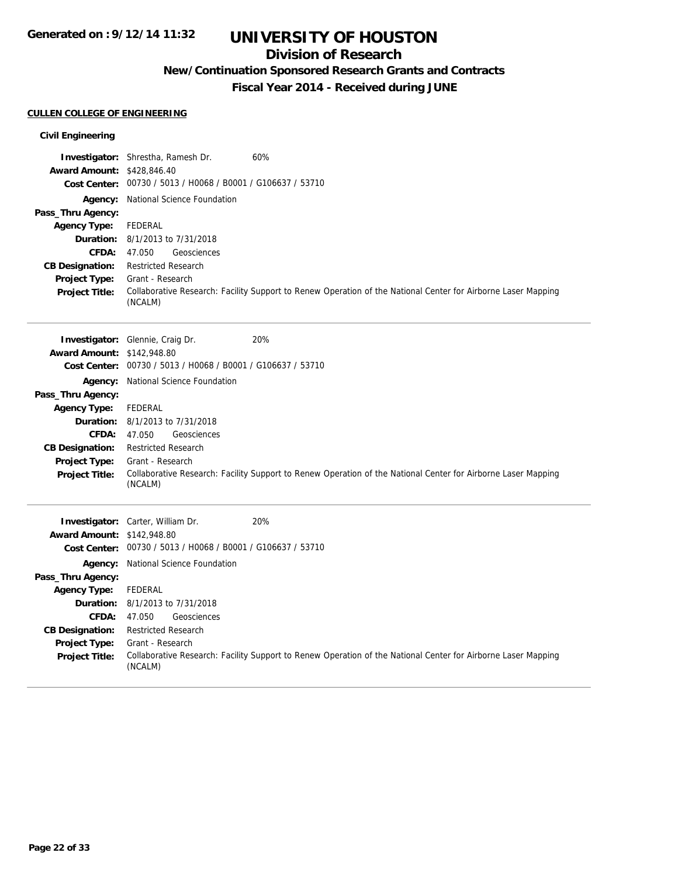## **Division of Research**

**New/Continuation Sponsored Research Grants and Contracts**

**Fiscal Year 2014 - Received during JUNE**

### **CULLEN COLLEGE OF ENGINEERING**

### **Civil Engineering**

|                                   | Investigator: Shrestha, Ramesh Dr.                          | 60%                                                                                                           |
|-----------------------------------|-------------------------------------------------------------|---------------------------------------------------------------------------------------------------------------|
| <b>Award Amount: \$428,846.40</b> | Cost Center: 00730 / 5013 / H0068 / B0001 / G106637 / 53710 |                                                                                                               |
|                                   | Agency: National Science Foundation                         |                                                                                                               |
| Pass_Thru Agency:                 |                                                             |                                                                                                               |
| <b>Agency Type:</b>               | <b>FEDERAL</b>                                              |                                                                                                               |
| <b>Duration:</b>                  | 8/1/2013 to 7/31/2018                                       |                                                                                                               |
| CFDA:                             | 47.050<br>Geosciences                                       |                                                                                                               |
| <b>CB Designation:</b>            | <b>Restricted Research</b>                                  |                                                                                                               |
| Project Type:                     | Grant - Research                                            |                                                                                                               |
| <b>Project Title:</b>             | (NCALM)                                                     | Collaborative Research: Facility Support to Renew Operation of the National Center for Airborne Laser Mapping |
|                                   | Investigator: Glennie, Craig Dr.                            | 20%                                                                                                           |
| <b>Award Amount: \$142,948.80</b> |                                                             |                                                                                                               |
|                                   | Cost Center: 00730 / 5013 / H0068 / B0001 / G106637 / 53710 |                                                                                                               |
| Agency:                           | <b>National Science Foundation</b>                          |                                                                                                               |
| Pass_Thru Agency:                 |                                                             |                                                                                                               |
| <b>Agency Type:</b>               | <b>FEDERAL</b>                                              |                                                                                                               |
| Duration:                         | 8/1/2013 to 7/31/2018                                       |                                                                                                               |
| <b>CFDA:</b>                      | 47.050<br>Geosciences                                       |                                                                                                               |
| <b>CB Designation:</b>            | <b>Restricted Research</b>                                  |                                                                                                               |
| Project Type:                     | Grant - Research                                            | Collaborative Research: Facility Support to Renew Operation of the National Center for Airborne Laser Mapping |
| <b>Project Title:</b>             | (NCALM)                                                     |                                                                                                               |
|                                   | Investigator: Carter, William Dr.                           | 20%                                                                                                           |
| <b>Award Amount: \$142,948.80</b> |                                                             |                                                                                                               |
|                                   | Cost Center: 00730 / 5013 / H0068 / B0001 / G106637 / 53710 |                                                                                                               |
|                                   | Agency: National Science Foundation                         |                                                                                                               |
| Pass_Thru Agency:                 |                                                             |                                                                                                               |
| <b>Agency Type:</b>               | <b>FEDERAL</b>                                              |                                                                                                               |
| <b>Duration:</b>                  | 8/1/2013 to 7/31/2018                                       |                                                                                                               |
| <b>CFDA:</b>                      | 47.050<br>Geosciences                                       |                                                                                                               |
| <b>CB Designation:</b>            | <b>Restricted Research</b>                                  |                                                                                                               |
| Project Type:                     | Grant - Research                                            |                                                                                                               |
| <b>Project Title:</b>             | (NCALM)                                                     | Collaborative Research: Facility Support to Renew Operation of the National Center for Airborne Laser Mapping |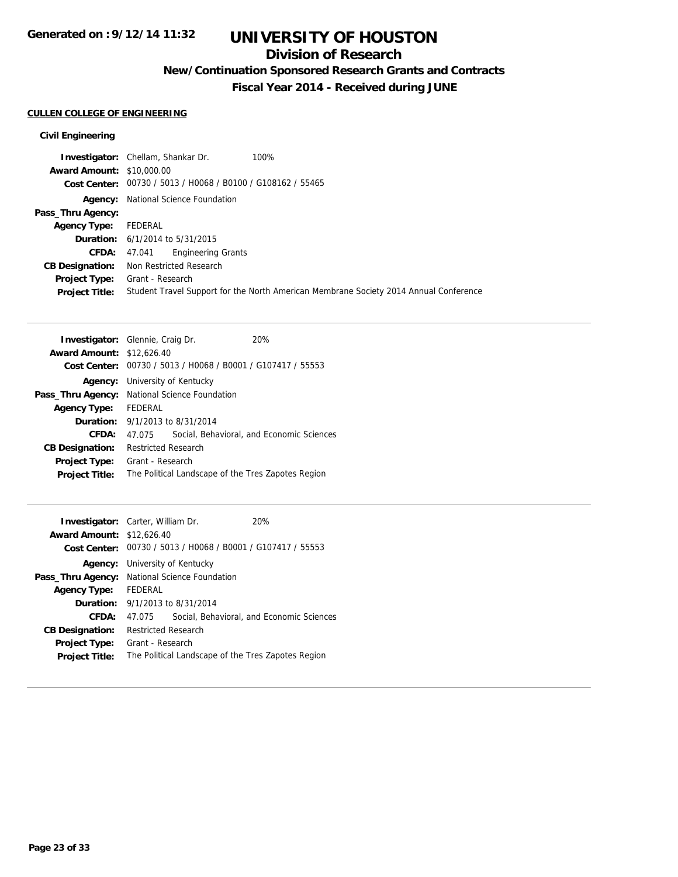## **Division of Research**

**New/Continuation Sponsored Research Grants and Contracts**

**Fiscal Year 2014 - Received during JUNE**

## **CULLEN COLLEGE OF ENGINEERING**

### **Civil Engineering**

| <b>Award Amount: \$10,000.00</b><br>Cost Center: 00730 / 5013 / H0068 / B0100 / G108162 / 55465<br><b>Agency:</b> National Science Foundation<br>Pass_Thru Agency:<br>Agency Type:<br>FEDERAL<br><b>Duration:</b> $6/1/2014$ to $5/31/2015$<br>47.041 Engineering Grants<br><b>CFDA:</b><br>Non Restricted Research<br><b>CB Designation:</b><br><b>Project Type:</b><br>Grant - Research<br><b>Project Title:</b> | 100%<br><b>Investigator:</b> Chellam, Shankar Dr.                                     |
|--------------------------------------------------------------------------------------------------------------------------------------------------------------------------------------------------------------------------------------------------------------------------------------------------------------------------------------------------------------------------------------------------------------------|---------------------------------------------------------------------------------------|
|                                                                                                                                                                                                                                                                                                                                                                                                                    |                                                                                       |
|                                                                                                                                                                                                                                                                                                                                                                                                                    |                                                                                       |
|                                                                                                                                                                                                                                                                                                                                                                                                                    |                                                                                       |
|                                                                                                                                                                                                                                                                                                                                                                                                                    |                                                                                       |
|                                                                                                                                                                                                                                                                                                                                                                                                                    |                                                                                       |
|                                                                                                                                                                                                                                                                                                                                                                                                                    |                                                                                       |
|                                                                                                                                                                                                                                                                                                                                                                                                                    |                                                                                       |
|                                                                                                                                                                                                                                                                                                                                                                                                                    |                                                                                       |
|                                                                                                                                                                                                                                                                                                                                                                                                                    |                                                                                       |
|                                                                                                                                                                                                                                                                                                                                                                                                                    | Student Travel Support for the North American Membrane Society 2014 Annual Conference |

| <b>Investigator:</b> Glennie, Craig Dr. |                                                    |                                                | 20%                                       |
|-----------------------------------------|----------------------------------------------------|------------------------------------------------|-------------------------------------------|
| <b>Award Amount: \$12,626.40</b>        |                                                    |                                                |                                           |
| Cost Center:                            |                                                    | 00730 / 5013 / H0068 / B0001 / G107417 / 55553 |                                           |
| Agency:                                 |                                                    | University of Kentucky                         |                                           |
|                                         | Pass_Thru Agency: National Science Foundation      |                                                |                                           |
| <b>Agency Type:</b>                     | FEDERAL                                            |                                                |                                           |
|                                         |                                                    | <b>Duration:</b> $9/1/2013$ to $8/31/2014$     |                                           |
| CFDA:                                   | 47.075                                             |                                                | Social, Behavioral, and Economic Sciences |
| <b>CB Designation:</b>                  | <b>Restricted Research</b>                         |                                                |                                           |
| <b>Project Type:</b>                    | Grant - Research                                   |                                                |                                           |
| <b>Project Title:</b>                   | The Political Landscape of the Tres Zapotes Region |                                                |                                           |

| <b>Investigator:</b> Carter, William Dr.      |                            |                                       | 20%                                                         |
|-----------------------------------------------|----------------------------|---------------------------------------|-------------------------------------------------------------|
| <b>Award Amount: \$12,626.40</b>              |                            |                                       |                                                             |
|                                               |                            |                                       | Cost Center: 00730 / 5013 / H0068 / B0001 / G107417 / 55553 |
|                                               |                            | <b>Agency:</b> University of Kentucky |                                                             |
| Pass_Thru Agency: National Science Foundation |                            |                                       |                                                             |
| <b>Agency Type:</b>                           | <b>FEDERAL</b>             |                                       |                                                             |
| Duration:                                     |                            | 9/1/2013 to 8/31/2014                 |                                                             |
| CFDA:                                         | 47.075                     |                                       | Social, Behavioral, and Economic Sciences                   |
| <b>CB Designation:</b>                        | <b>Restricted Research</b> |                                       |                                                             |
| <b>Project Type:</b>                          | Grant - Research           |                                       |                                                             |
| <b>Project Title:</b>                         |                            |                                       | The Political Landscape of the Tres Zapotes Region          |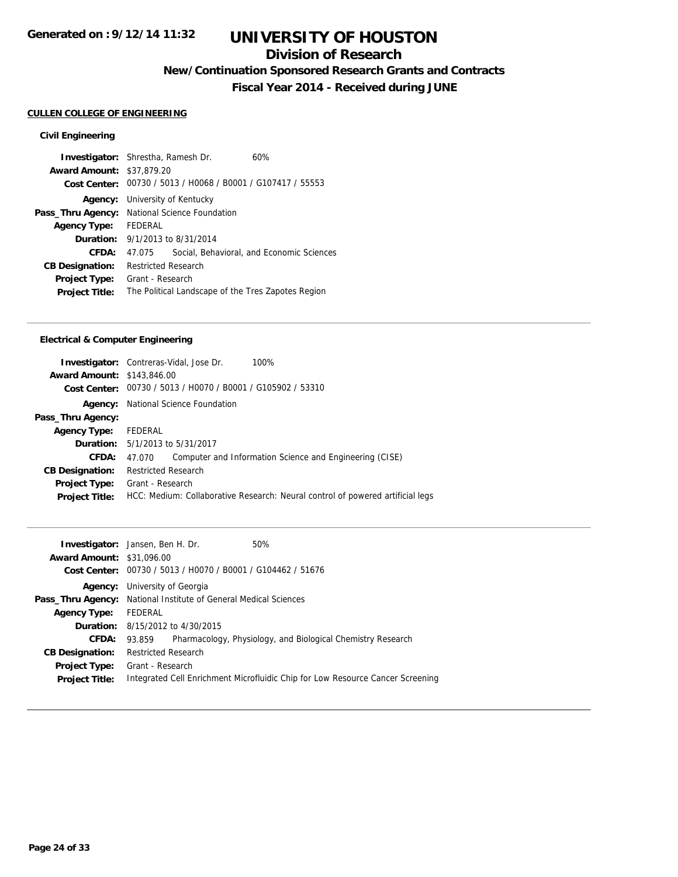## **Division of Research**

**New/Continuation Sponsored Research Grants and Contracts**

**Fiscal Year 2014 - Received during JUNE**

### **CULLEN COLLEGE OF ENGINEERING**

### **Civil Engineering**

| <b>Investigator:</b> Shrestha, Ramesh Dr.     |                                        | 60%                                                         |
|-----------------------------------------------|----------------------------------------|-------------------------------------------------------------|
| <b>Award Amount: \$37,879.20</b>              |                                        |                                                             |
|                                               |                                        | Cost Center: 00730 / 5013 / H0068 / B0001 / G107417 / 55553 |
|                                               | <b>Agency:</b> University of Kentucky  |                                                             |
| Pass_Thru Agency: National Science Foundation |                                        |                                                             |
| <b>Agency Type:</b>                           | FEDERAL                                |                                                             |
|                                               | <b>Duration:</b> 9/1/2013 to 8/31/2014 |                                                             |
| CFDA:                                         | 47.075                                 | Social, Behavioral, and Economic Sciences                   |
| <b>CB Designation:</b>                        | <b>Restricted Research</b>             |                                                             |
| Project Type:                                 | Grant - Research                       |                                                             |
| <b>Project Title:</b>                         |                                        | The Political Landscape of the Tres Zapotes Region          |

### **Electrical & Computer Engineering**

|                                   | <b>Investigator:</b> Contreras-Vidal, Jose Dr.<br>100%                         |
|-----------------------------------|--------------------------------------------------------------------------------|
| <b>Award Amount: \$143,846.00</b> |                                                                                |
|                                   | Cost Center: 00730 / 5013 / H0070 / B0001 / G105902 / 53310                    |
| Agency:                           | National Science Foundation                                                    |
| Pass_Thru Agency:                 |                                                                                |
| <b>Agency Type:</b>               | FEDERAL                                                                        |
|                                   | <b>Duration:</b> 5/1/2013 to 5/31/2017                                         |
| <b>CFDA:</b>                      | Computer and Information Science and Engineering (CISE)<br>47.070              |
| <b>CB Designation:</b>            | <b>Restricted Research</b>                                                     |
| <b>Project Type:</b>              | Grant - Research                                                               |
| <b>Project Title:</b>             | HCC: Medium: Collaborative Research: Neural control of powered artificial legs |
|                                   |                                                                                |

|                                  | <b>Investigator:</b> Jansen, Ben H. Dr.        | 50%                                                                            |  |
|----------------------------------|------------------------------------------------|--------------------------------------------------------------------------------|--|
| <b>Award Amount: \$31,096.00</b> |                                                |                                                                                |  |
| <b>Cost Center:</b>              | 00730 / 5013 / H0070 / B0001 / G104462 / 51676 |                                                                                |  |
| Agency:                          | University of Georgia                          |                                                                                |  |
| Pass_Thru Agency:                | National Institute of General Medical Sciences |                                                                                |  |
| <b>Agency Type:</b>              | FEDERAL                                        |                                                                                |  |
|                                  | <b>Duration:</b> 8/15/2012 to 4/30/2015        |                                                                                |  |
| CFDA:                            | 93.859                                         | Pharmacology, Physiology, and Biological Chemistry Research                    |  |
| <b>CB Designation:</b>           | <b>Restricted Research</b>                     |                                                                                |  |
| <b>Project Type:</b>             | Grant - Research                               |                                                                                |  |
| <b>Project Title:</b>            |                                                | Integrated Cell Enrichment Microfluidic Chip for Low Resource Cancer Screening |  |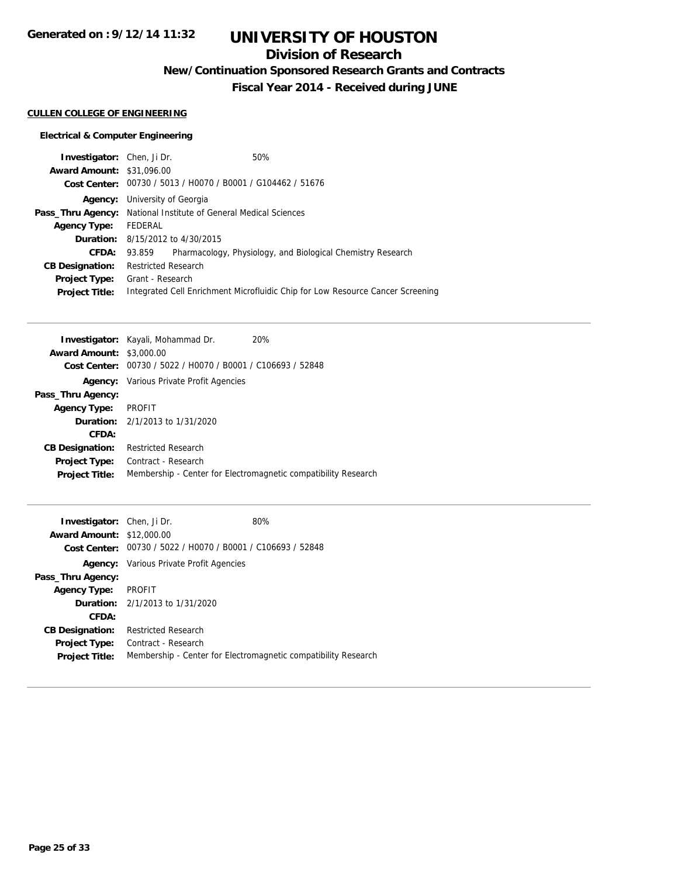# **UNIVERSITY OF HOUSTON**

## **Division of Research**

**New/Continuation Sponsored Research Grants and Contracts**

**Fiscal Year 2014 - Received during JUNE**

### **CULLEN COLLEGE OF ENGINEERING**

### **Electrical & Computer Engineering**

| <b>Investigator:</b> Chen, Ji Dr.                                       |                       |                                                             | 50%                                                                            |
|-------------------------------------------------------------------------|-----------------------|-------------------------------------------------------------|--------------------------------------------------------------------------------|
| <b>Award Amount: \$31,096.00</b>                                        |                       |                                                             |                                                                                |
|                                                                         |                       | Cost Center: 00730 / 5013 / H0070 / B0001 / G104462 / 51676 |                                                                                |
| Agency:                                                                 | University of Georgia |                                                             |                                                                                |
| <b>Pass_Thru Agency:</b> National Institute of General Medical Sciences |                       |                                                             |                                                                                |
| <b>Agency Type:</b>                                                     | FEDERAL               |                                                             |                                                                                |
|                                                                         |                       | <b>Duration:</b> 8/15/2012 to 4/30/2015                     |                                                                                |
| <b>CFDA:</b>                                                            | 93.859                |                                                             | Pharmacology, Physiology, and Biological Chemistry Research                    |
| <b>CB Designation:</b>                                                  | Restricted Research   |                                                             |                                                                                |
| Project Type:                                                           | Grant - Research      |                                                             |                                                                                |
| <b>Project Title:</b>                                                   |                       |                                                             | Integrated Cell Enrichment Microfluidic Chip for Low Resource Cancer Screening |

|                                 | <b>Investigator:</b> Kayali, Mohammad Dr.                   | 20%                                                            |
|---------------------------------|-------------------------------------------------------------|----------------------------------------------------------------|
| <b>Award Amount: \$3,000.00</b> |                                                             |                                                                |
|                                 | Cost Center: 00730 / 5022 / H0070 / B0001 / C106693 / 52848 |                                                                |
|                                 | <b>Agency:</b> Various Private Profit Agencies              |                                                                |
| Pass_Thru Agency:               |                                                             |                                                                |
| <b>Agency Type:</b>             | <b>PROFIT</b>                                               |                                                                |
|                                 | <b>Duration:</b> $2/1/2013$ to $1/31/2020$                  |                                                                |
| CFDA:                           |                                                             |                                                                |
| <b>CB Designation:</b>          | <b>Restricted Research</b>                                  |                                                                |
| <b>Project Type:</b>            | Contract - Research                                         |                                                                |
| <b>Project Title:</b>           |                                                             | Membership - Center for Electromagnetic compatibility Research |
|                                 |                                                             |                                                                |

| <b>Investigator:</b> Chen, Ji Dr. |                                                             | 80%                                                            |
|-----------------------------------|-------------------------------------------------------------|----------------------------------------------------------------|
| <b>Award Amount: \$12,000.00</b>  |                                                             |                                                                |
|                                   | Cost Center: 00730 / 5022 / H0070 / B0001 / C106693 / 52848 |                                                                |
|                                   | <b>Agency:</b> Various Private Profit Agencies              |                                                                |
| Pass_Thru Agency:                 |                                                             |                                                                |
| <b>Agency Type:</b>               | <b>PROFIT</b>                                               |                                                                |
|                                   | <b>Duration:</b> 2/1/2013 to 1/31/2020                      |                                                                |
| CFDA:                             |                                                             |                                                                |
| <b>CB Designation:</b>            | <b>Restricted Research</b>                                  |                                                                |
| Project Type:                     | Contract - Research                                         |                                                                |
| <b>Project Title:</b>             |                                                             | Membership - Center for Electromagnetic compatibility Research |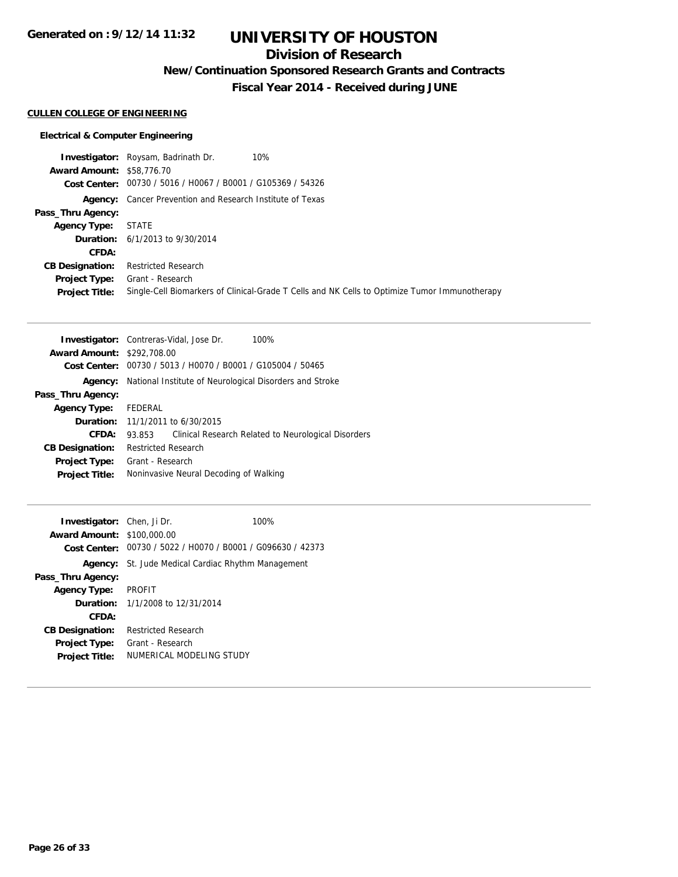# **UNIVERSITY OF HOUSTON**

## **Division of Research**

**New/Continuation Sponsored Research Grants and Contracts**

**Fiscal Year 2014 - Received during JUNE**

### **CULLEN COLLEGE OF ENGINEERING**

### **Electrical & Computer Engineering**

|                                  | <b>Investigator:</b> Roysam, Badrinath Dr.<br>10%                                             |
|----------------------------------|-----------------------------------------------------------------------------------------------|
| <b>Award Amount: \$58,776.70</b> |                                                                                               |
|                                  | Cost Center: 00730 / 5016 / H0067 / B0001 / G105369 / 54326                                   |
|                                  | <b>Agency:</b> Cancer Prevention and Research Institute of Texas                              |
| Pass_Thru Agency:                |                                                                                               |
| <b>Agency Type:</b>              | STATE                                                                                         |
|                                  | <b>Duration:</b> $6/1/2013$ to $9/30/2014$                                                    |
| CFDA:                            |                                                                                               |
| <b>CB Designation:</b>           | <b>Restricted Research</b>                                                                    |
| <b>Project Type:</b>             | Grant - Research                                                                              |
| <b>Project Title:</b>            | Single-Cell Biomarkers of Clinical-Grade T Cells and NK Cells to Optimize Tumor Immunotherapy |

|                                   | <b>Investigator:</b> Contreras-Vidal, Jose Dr.<br>100%        |
|-----------------------------------|---------------------------------------------------------------|
| <b>Award Amount: \$292,708.00</b> |                                                               |
| Cost Center:                      | 00730 / 5013 / H0070 / B0001 / G105004 / 50465                |
| Agency:                           | National Institute of Neurological Disorders and Stroke       |
| Pass_Thru Agency:                 |                                                               |
| <b>Agency Type:</b>               | FEDERAL                                                       |
|                                   | <b>Duration:</b> 11/1/2011 to 6/30/2015                       |
| CFDA:                             | Clinical Research Related to Neurological Disorders<br>93.853 |
| <b>CB Designation:</b>            | <b>Restricted Research</b>                                    |
| <b>Project Type:</b>              | Grant - Research                                              |
| <b>Project Title:</b>             | Noninvasive Neural Decoding of Walking                        |

| <b>Investigator:</b> Chen, Ji Dr. |                                                             | 100% |
|-----------------------------------|-------------------------------------------------------------|------|
| <b>Award Amount: \$100,000.00</b> |                                                             |      |
|                                   | Cost Center: 00730 / 5022 / H0070 / B0001 / G096630 / 42373 |      |
|                                   | <b>Agency:</b> St. Jude Medical Cardiac Rhythm Management   |      |
| Pass_Thru Agency:                 |                                                             |      |
| <b>Agency Type:</b>               | <b>PROFIT</b>                                               |      |
|                                   | <b>Duration:</b> 1/1/2008 to 12/31/2014                     |      |
| CFDA:                             |                                                             |      |
| <b>CB Designation:</b>            | Restricted Research                                         |      |
| <b>Project Type:</b>              | Grant - Research                                            |      |
| <b>Project Title:</b>             | NUMERICAL MODELING STUDY                                    |      |
|                                   |                                                             |      |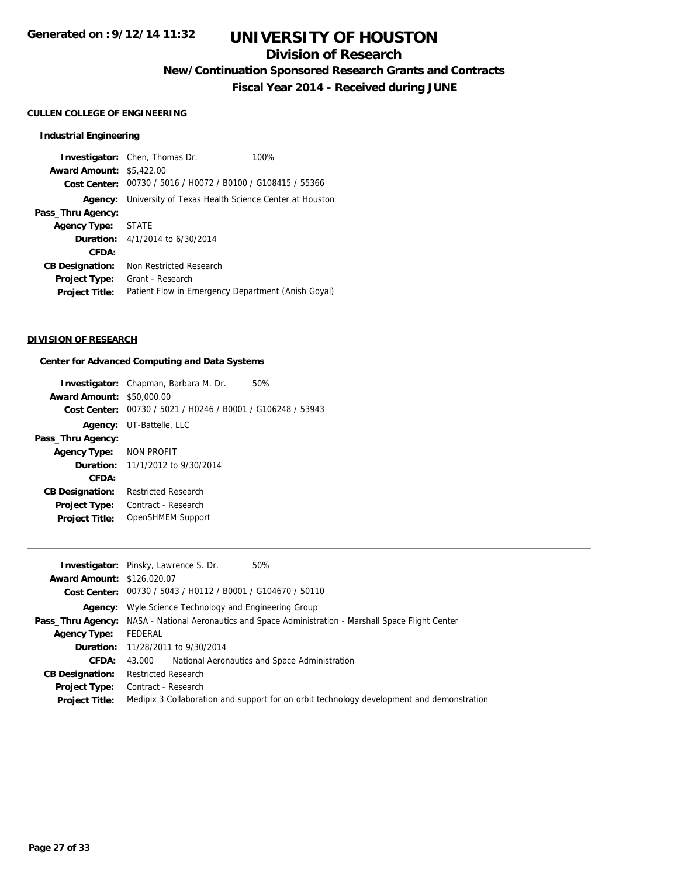## **Division of Research**

**New/Continuation Sponsored Research Grants and Contracts**

**Fiscal Year 2014 - Received during JUNE**

#### **CULLEN COLLEGE OF ENGINEERING**

#### **Industrial Engineering**

**Investigator:** Chen, Thomas Dr. 100% **Award Amount:** \$5,422.00 **Cost Center:** 00730 / 5016 / H0072 / B0100 / G108415 / 55366 **Agency:** University of Texas Health Science Center at Houston **Pass\_Thru Agency: Agency Type:** STATE **Duration:** 4/1/2014 to 6/30/2014 **CFDA: CB Designation:** Non Restricted Research **Project Type:** Grant - Research **Project Title:** Patient Flow in Emergency Department (Anish Goyal)

#### **DIVISION OF RESEARCH**

#### **Center for Advanced Computing and Data Systems**

|                         | <b>Investigator:</b> Chapman, Barbara M. Dr.<br>50%         |
|-------------------------|-------------------------------------------------------------|
| <b>Award Amount:</b>    | \$50,000.00                                                 |
|                         | Cost Center: 00730 / 5021 / H0246 / B0001 / G106248 / 53943 |
|                         | <b>Agency:</b> UT-Battelle, LLC                             |
| Pass_Thru Agency:       |                                                             |
| Agency Type: NON PROFIT |                                                             |
|                         | <b>Duration:</b> 11/1/2012 to $9/30/2014$                   |
| CFDA:                   |                                                             |
| <b>CB Designation:</b>  | <b>Restricted Research</b>                                  |
| <b>Project Type:</b>    | Contract - Research                                         |
| <b>Project Title:</b>   | OpenSHMEM Support                                           |
|                         |                                                             |

|                                   | 50%<br><b>Investigator:</b> Pinsky, Lawrence S. Dr.                                                          |
|-----------------------------------|--------------------------------------------------------------------------------------------------------------|
| <b>Award Amount: \$126,020.07</b> |                                                                                                              |
|                                   | Cost Center: 00730 / 5043 / H0112 / B0001 / G104670 / 50110                                                  |
|                                   | <b>Agency:</b> Wyle Science Technology and Engineering Group                                                 |
|                                   | <b>Pass_Thru Agency:</b> NASA - National Aeronautics and Space Administration - Marshall Space Flight Center |
| <b>Agency Type:</b>               | FEDERAL                                                                                                      |
|                                   | <b>Duration:</b> 11/28/2011 to 9/30/2014                                                                     |
| <b>CFDA:</b>                      | National Aeronautics and Space Administration<br>43.000                                                      |
| <b>CB Designation:</b>            | <b>Restricted Research</b>                                                                                   |
| <b>Project Type:</b>              | Contract - Research                                                                                          |
| <b>Project Title:</b>             | Medipix 3 Collaboration and support for on orbit technology development and demonstration                    |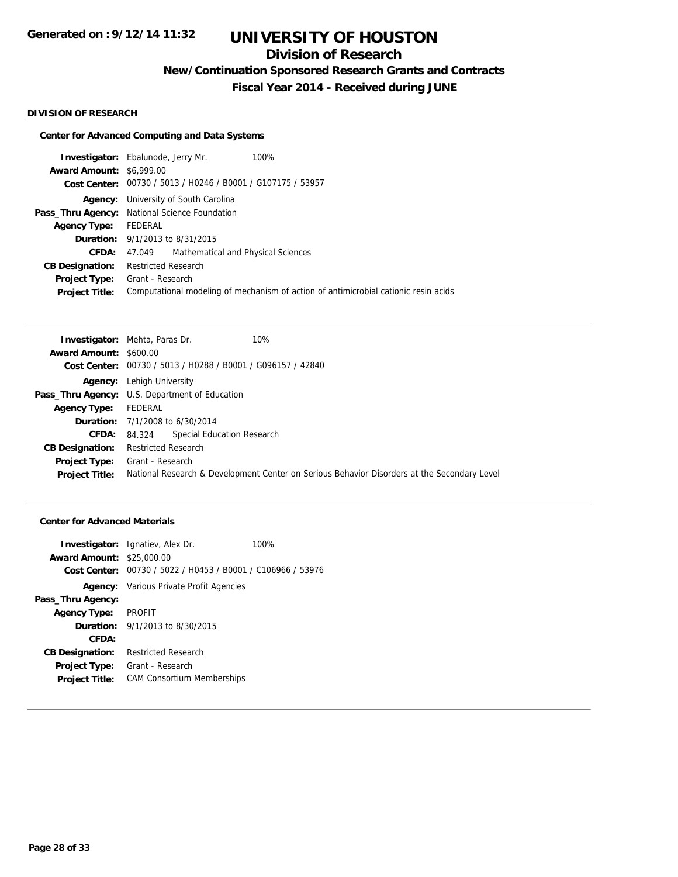## **Division of Research**

**New/Continuation Sponsored Research Grants and Contracts**

**Fiscal Year 2014 - Received during JUNE**

#### **DIVISION OF RESEARCH**

### **Center for Advanced Computing and Data Systems**

|                                 | <b>Investigator:</b> Ebalunode, Jerry Mr.                   | 100%                                                                                |
|---------------------------------|-------------------------------------------------------------|-------------------------------------------------------------------------------------|
| <b>Award Amount: \$6,999.00</b> |                                                             |                                                                                     |
|                                 | Cost Center: 00730 / 5013 / H0246 / B0001 / G107175 / 53957 |                                                                                     |
| Agency:                         | University of South Carolina                                |                                                                                     |
|                                 | Pass_Thru Agency: National Science Foundation               |                                                                                     |
| <b>Agency Type:</b>             | FEDERAL                                                     |                                                                                     |
|                                 | <b>Duration:</b> 9/1/2013 to 8/31/2015                      |                                                                                     |
| CFDA:                           | Mathematical and Physical Sciences<br>47.049                |                                                                                     |
| <b>CB Designation:</b>          | <b>Restricted Research</b>                                  |                                                                                     |
| <b>Project Type:</b>            | Grant - Research                                            |                                                                                     |
| <b>Project Title:</b>           |                                                             | Computational modeling of mechanism of action of antimicrobial cationic resin acids |
|                                 |                                                             |                                                                                     |

| <b>Investigator:</b> Mehta, Paras Dr.                       | 10%                                                                                         |
|-------------------------------------------------------------|---------------------------------------------------------------------------------------------|
| <b>Award Amount: \$600.00</b>                               |                                                                                             |
| Cost Center: 00730 / 5013 / H0288 / B0001 / G096157 / 42840 |                                                                                             |
| <b>Agency:</b> Lehigh University                            |                                                                                             |
| <b>Pass_Thru Agency:</b> U.S. Department of Education       |                                                                                             |
| FEDERAL                                                     |                                                                                             |
| <b>Duration:</b> 7/1/2008 to 6/30/2014                      |                                                                                             |
| 84.324                                                      |                                                                                             |
| Restricted Research                                         |                                                                                             |
| <b>Project Type:</b> Grant - Research                       |                                                                                             |
|                                                             | National Research & Development Center on Serious Behavior Disorders at the Secondary Level |
|                                                             | Special Education Research                                                                  |

#### **Center for Advanced Materials**

| <b>Award Amount: \$25,000.00</b> | <b>Investigator:</b> Ignatiev, Alex Dr.                     | 100% |
|----------------------------------|-------------------------------------------------------------|------|
|                                  |                                                             |      |
|                                  | Cost Center: 00730 / 5022 / H0453 / B0001 / C106966 / 53976 |      |
|                                  | <b>Agency:</b> Various Private Profit Agencies              |      |
| Pass_Thru Agency:                |                                                             |      |
| <b>Agency Type:</b>              | PROFIT                                                      |      |
|                                  | <b>Duration:</b> $9/1/2013$ to $8/30/2015$                  |      |
| CFDA:                            |                                                             |      |
| <b>CB Designation:</b>           | <b>Restricted Research</b>                                  |      |
| <b>Project Type:</b>             | Grant - Research                                            |      |
| <b>Project Title:</b>            | <b>CAM Consortium Memberships</b>                           |      |
|                                  |                                                             |      |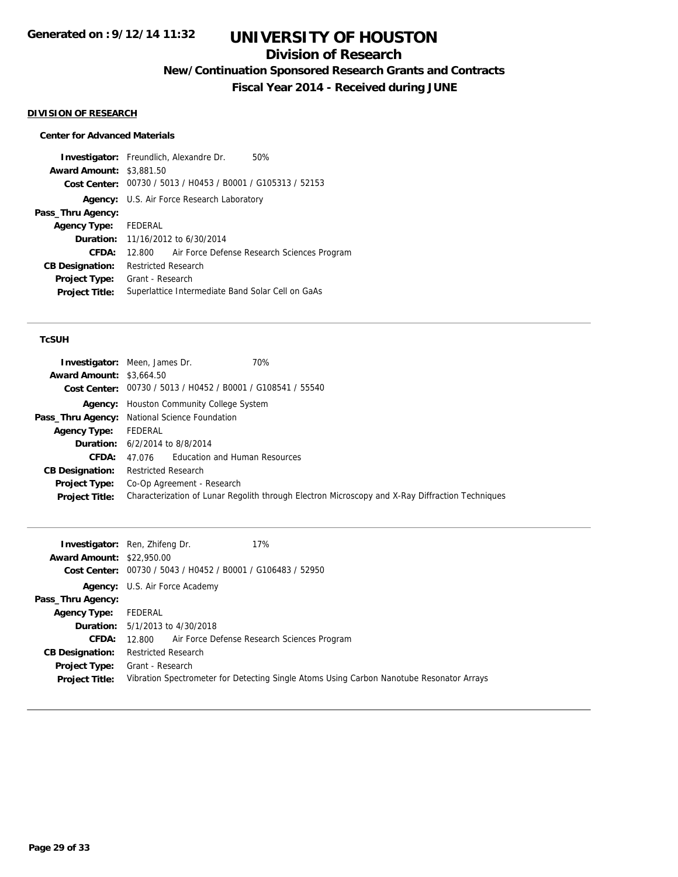## **Division of Research**

**New/Continuation Sponsored Research Grants and Contracts**

**Fiscal Year 2014 - Received during JUNE**

#### **DIVISION OF RESEARCH**

#### **Center for Advanced Materials**

**Investigator:** Freundlich, Alexandre Dr. 50% **Award Amount:** \$3,881.50 **Cost Center:** 00730 / 5013 / H0453 / B0001 / G105313 / 52153 **Agency:** U.S. Air Force Research Laboratory **Pass\_Thru Agency: Agency Type:** FEDERAL **Duration:** 11/16/2012 to 6/30/2014 **CFDA:** 12.800 Air Force Defense Research Sciences Program **CB Designation:** Restricted Research **Project Type:** Grant - Research **Project Title:** Superlattice Intermediate Band Solar Cell on GaAs

#### **TcSUH**

|                                 | <b>Investigator:</b> Meen, James Dr.<br>70%                                                     |
|---------------------------------|-------------------------------------------------------------------------------------------------|
| <b>Award Amount: \$3,664.50</b> |                                                                                                 |
|                                 | Cost Center: 00730 / 5013 / H0452 / B0001 / G108541 / 55540                                     |
|                                 | <b>Agency:</b> Houston Community College System                                                 |
|                                 | Pass_Thru Agency: National Science Foundation                                                   |
| <b>Agency Type:</b>             | FEDERAL                                                                                         |
|                                 | <b>Duration:</b> 6/2/2014 to 8/8/2014                                                           |
| CFDA:                           | 47.076 Education and Human Resources                                                            |
| <b>CB Designation:</b>          | <b>Restricted Research</b>                                                                      |
| <b>Project Type:</b>            | Co-Op Agreement - Research                                                                      |
| <b>Project Title:</b>           | Characterization of Lunar Regolith through Electron Microscopy and X-Ray Diffraction Techniques |

|                                  | <b>Investigator:</b> Ren, Zhifeng Dr.<br>17%                                             |
|----------------------------------|------------------------------------------------------------------------------------------|
| <b>Award Amount: \$22,950.00</b> |                                                                                          |
|                                  | Cost Center: 00730 / 5043 / H0452 / B0001 / G106483 / 52950                              |
|                                  | <b>Agency:</b> U.S. Air Force Academy                                                    |
| Pass_Thru Agency:                |                                                                                          |
| <b>Agency Type:</b>              | FEDERAL                                                                                  |
|                                  | <b>Duration:</b> 5/1/2013 to 4/30/2018                                                   |
| <b>CFDA:</b>                     | 12.800 Air Force Defense Research Sciences Program                                       |
| <b>CB Designation:</b>           | <b>Restricted Research</b>                                                               |
| <b>Project Type:</b>             | Grant - Research                                                                         |
| <b>Project Title:</b>            | Vibration Spectrometer for Detecting Single Atoms Using Carbon Nanotube Resonator Arrays |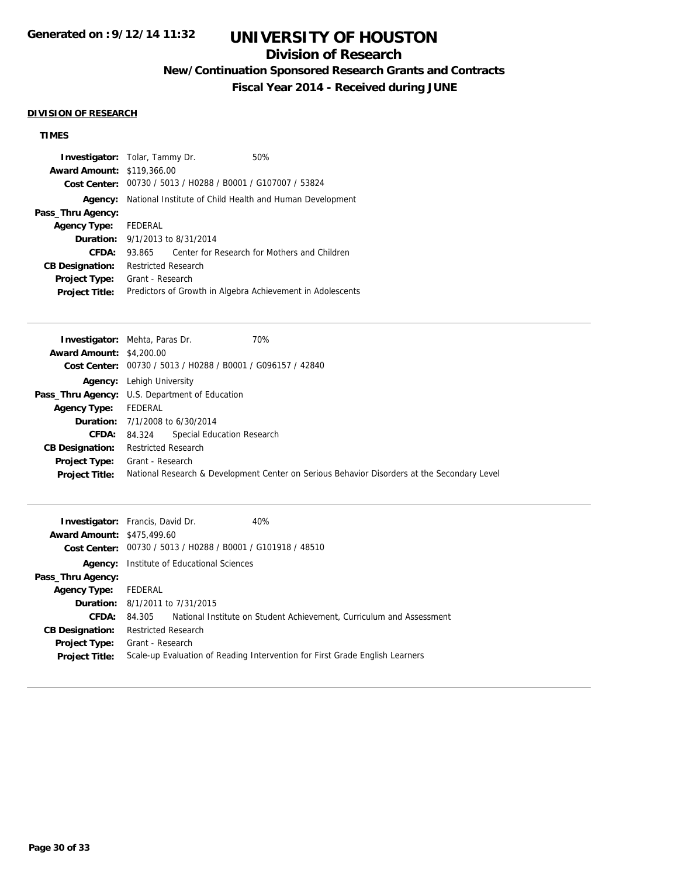## **Division of Research**

**New/Continuation Sponsored Research Grants and Contracts**

**Fiscal Year 2014 - Received during JUNE**

#### **DIVISION OF RESEARCH**

## **TIMES**

| <b>Investigator:</b> Tolar, Tammy Dr.  |                            |                                                             | 50%                                                        |
|----------------------------------------|----------------------------|-------------------------------------------------------------|------------------------------------------------------------|
| <b>Award Amount: \$119,366.00</b>      |                            |                                                             |                                                            |
|                                        |                            | Cost Center: 00730 / 5013 / H0288 / B0001 / G107007 / 53824 |                                                            |
| Agency:                                |                            |                                                             | National Institute of Child Health and Human Development   |
| Pass_Thru Agency:                      |                            |                                                             |                                                            |
| Agency Type: FEDERAL                   |                            |                                                             |                                                            |
| <b>Duration:</b> 9/1/2013 to 8/31/2014 |                            |                                                             |                                                            |
| CFDA:                                  | 93.865                     |                                                             | Center for Research for Mothers and Children               |
| <b>CB Designation:</b>                 | <b>Restricted Research</b> |                                                             |                                                            |
| <b>Project Type:</b>                   | Grant - Research           |                                                             |                                                            |
| <b>Project Title:</b>                  |                            |                                                             | Predictors of Growth in Algebra Achievement in Adolescents |

|                                 | 70%<br><b>Investigator:</b> Mehta, Paras Dr.                                                |
|---------------------------------|---------------------------------------------------------------------------------------------|
| <b>Award Amount: \$4,200.00</b> |                                                                                             |
|                                 | Cost Center: 00730 / 5013 / H0288 / B0001 / G096157 / 42840                                 |
|                                 | <b>Agency:</b> Lehigh University                                                            |
|                                 | <b>Pass_Thru Agency:</b> U.S. Department of Education                                       |
| <b>Agency Type:</b>             | FEDERAL                                                                                     |
|                                 | <b>Duration:</b> $7/1/2008$ to $6/30/2014$                                                  |
|                                 | Special Education Research<br>CFDA: 84.324                                                  |
| <b>CB Designation:</b>          | <b>Restricted Research</b>                                                                  |
| <b>Project Type:</b>            | Grant - Research                                                                            |
| <b>Project Title:</b>           | National Research & Development Center on Serious Behavior Disorders at the Secondary Level |

|                                   | <b>Investigator:</b> Francis, David Dr.<br>40%                               |                                                                             |
|-----------------------------------|------------------------------------------------------------------------------|-----------------------------------------------------------------------------|
| <b>Award Amount: \$475,499.60</b> |                                                                              |                                                                             |
|                                   | Cost Center: 00730 / 5013 / H0288 / B0001 / G101918 / 48510                  |                                                                             |
| Agency:                           | Institute of Educational Sciences                                            |                                                                             |
| Pass_Thru Agency:                 |                                                                              |                                                                             |
| <b>Agency Type:</b>               | FEDERAL                                                                      |                                                                             |
|                                   | <b>Duration:</b> 8/1/2011 to 7/31/2015                                       |                                                                             |
| CFDA:                             |                                                                              | 84.305 National Institute on Student Achievement, Curriculum and Assessment |
| <b>CB Designation:</b>            | <b>Restricted Research</b>                                                   |                                                                             |
|                                   | <b>Project Type:</b> Grant - Research                                        |                                                                             |
| <b>Project Title:</b>             | Scale-up Evaluation of Reading Intervention for First Grade English Learners |                                                                             |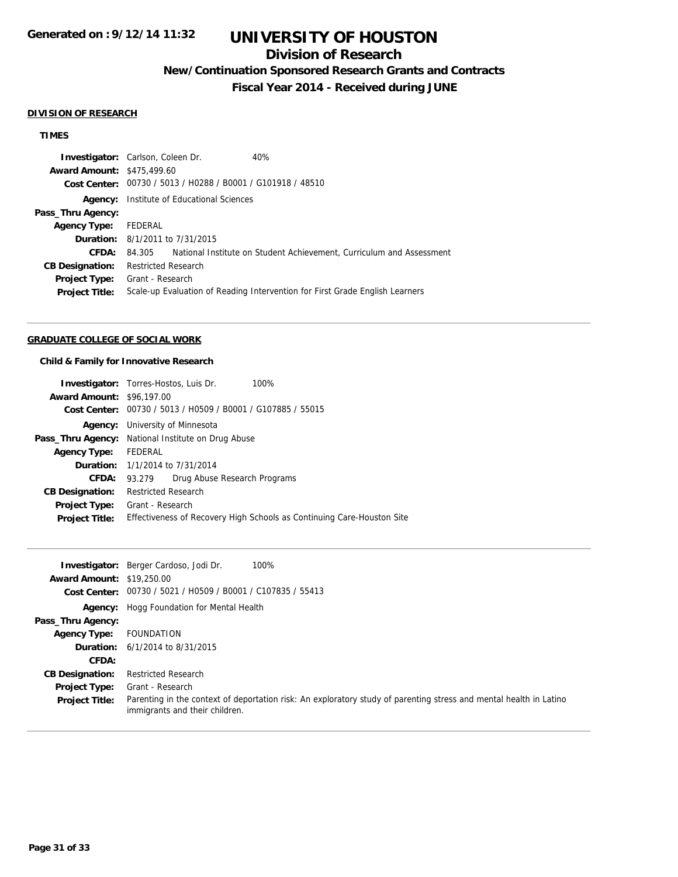## **Division of Research**

**New/Continuation Sponsored Research Grants and Contracts**

**Fiscal Year 2014 - Received during JUNE**

#### **DIVISION OF RESEARCH**

### **TIMES**

|                                   | <b>Investigator:</b> Carlson, Coleen Dr.                    | 40%                                                                          |
|-----------------------------------|-------------------------------------------------------------|------------------------------------------------------------------------------|
| <b>Award Amount: \$475,499.60</b> |                                                             |                                                                              |
|                                   | Cost Center: 00730 / 5013 / H0288 / B0001 / G101918 / 48510 |                                                                              |
| Agency:                           | Institute of Educational Sciences                           |                                                                              |
| Pass_Thru Agency:                 |                                                             |                                                                              |
| <b>Agency Type:</b>               | FEDERAL                                                     |                                                                              |
|                                   | <b>Duration:</b> 8/1/2011 to 7/31/2015                      |                                                                              |
| CFDA:                             | 84.305                                                      | National Institute on Student Achievement, Curriculum and Assessment         |
| <b>CB Designation:</b>            | <b>Restricted Research</b>                                  |                                                                              |
| Project Type:                     | Grant - Research                                            |                                                                              |
| <b>Project Title:</b>             |                                                             | Scale-up Evaluation of Reading Intervention for First Grade English Learners |
|                                   |                                                             |                                                                              |

#### **GRADUATE COLLEGE OF SOCIAL WORK**

#### **Child & Family for Innovative Research**

|                                  | 100%<br><b>Investigator:</b> Torres-Hostos, Luis Dr.                   |
|----------------------------------|------------------------------------------------------------------------|
| <b>Award Amount: \$96,197,00</b> |                                                                        |
|                                  | Cost Center: 00730 / 5013 / H0509 / B0001 / G107885 / 55015            |
| Agency:                          | University of Minnesota                                                |
|                                  | <b>Pass_Thru Agency:</b> National Institute on Drug Abuse              |
| Agency Type:                     | FEDERAL                                                                |
|                                  | <b>Duration:</b> 1/1/2014 to 7/31/2014                                 |
| <b>CFDA:</b>                     | Drug Abuse Research Programs<br>93.279                                 |
| <b>CB Designation:</b>           | <b>Restricted Research</b>                                             |
| <b>Project Type:</b>             | Grant - Research                                                       |
| <b>Project Title:</b>            | Effectiveness of Recovery High Schools as Continuing Care-Houston Site |

|                                  | 100%<br><b>Investigator:</b> Berger Cardoso, Jodi Dr.                                                                                                |
|----------------------------------|------------------------------------------------------------------------------------------------------------------------------------------------------|
| <b>Award Amount: \$19,250.00</b> |                                                                                                                                                      |
|                                  | Cost Center: 00730 / 5021 / H0509 / B0001 / C107835 / 55413                                                                                          |
|                                  | <b>Agency:</b> Hogg Foundation for Mental Health                                                                                                     |
| Pass_Thru Agency:                |                                                                                                                                                      |
| <b>Agency Type:</b>              | FOUNDATION                                                                                                                                           |
|                                  | <b>Duration:</b> $6/1/2014$ to $8/31/2015$                                                                                                           |
| CFDA:                            |                                                                                                                                                      |
| <b>CB Designation:</b>           | <b>Restricted Research</b>                                                                                                                           |
| <b>Project Type:</b>             | Grant - Research                                                                                                                                     |
| <b>Project Title:</b>            | Parenting in the context of deportation risk: An exploratory study of parenting stress and mental health in Latino<br>immigrants and their children. |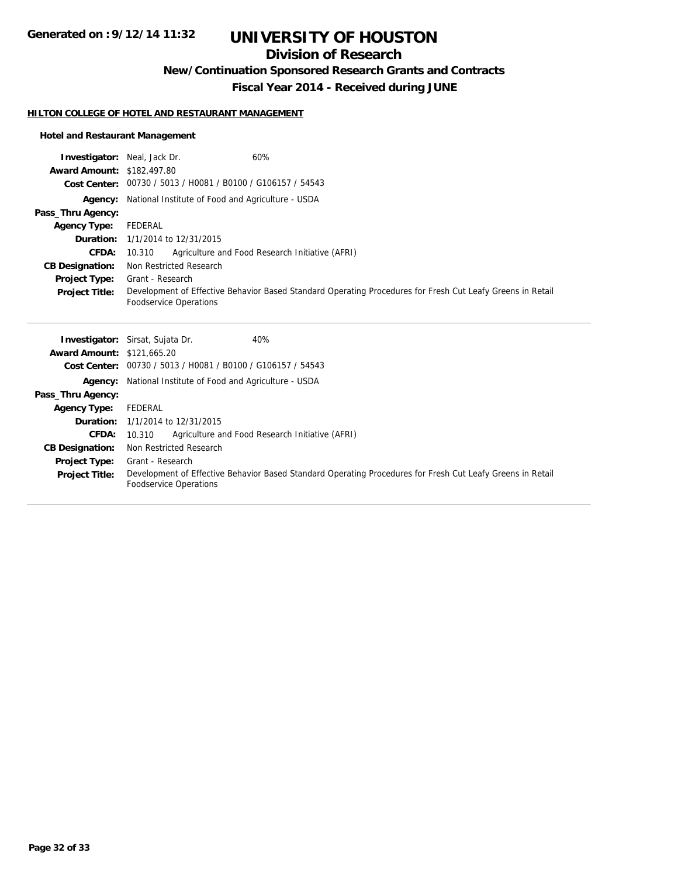## **Division of Research**

**New/Continuation Sponsored Research Grants and Contracts**

**Fiscal Year 2014 - Received during JUNE**

#### **HILTON COLLEGE OF HOTEL AND RESTAURANT MANAGEMENT**

### **Hotel and Restaurant Management**

| <b>Investigator:</b> Neal, Jack Dr. | 60%                                                                                                        |
|-------------------------------------|------------------------------------------------------------------------------------------------------------|
| <b>Award Amount: \$182,497.80</b>   |                                                                                                            |
|                                     | Cost Center: 00730 / 5013 / H0081 / B0100 / G106157 / 54543                                                |
|                                     | <b>Agency:</b> National Institute of Food and Agriculture - USDA                                           |
| Pass_Thru Agency:                   |                                                                                                            |
| <b>Agency Type:</b>                 | FEDERAL                                                                                                    |
|                                     | <b>Duration:</b> 1/1/2014 to 12/31/2015                                                                    |
| CFDA:                               | Agriculture and Food Research Initiative (AFRI)<br>10.310                                                  |
| <b>CB Designation:</b>              | Non Restricted Research                                                                                    |
| <b>Project Type:</b>                | Grant - Research                                                                                           |
| <b>Project Title:</b>               | Development of Effective Behavior Based Standard Operating Procedures for Fresh Cut Leafy Greens in Retail |
|                                     | <b>Foodservice Operations</b>                                                                              |
|                                     |                                                                                                            |
|                                     |                                                                                                            |
|                                     | 40%<br><b>Investigator:</b> Sirsat, Sujata Dr.                                                             |
| <b>Award Amount: \$121,665.20</b>   |                                                                                                            |
| <b>Cost Center:</b>                 | 00730 / 5013 / H0081 / B0100 / G106157 / 54543                                                             |
|                                     | <b>Agency:</b> National Institute of Food and Agriculture - USDA                                           |
| Pass_Thru Agency:                   |                                                                                                            |
| <b>Agency Type:</b>                 | FEDERAL                                                                                                    |
|                                     | <b>Duration:</b> 1/1/2014 to 12/31/2015                                                                    |
| <b>CFDA:</b>                        | Agriculture and Food Research Initiative (AFRI)<br>10.310                                                  |
| <b>CB Designation:</b>              | Non Restricted Research                                                                                    |
| <b>Project Type:</b>                | Grant - Research                                                                                           |